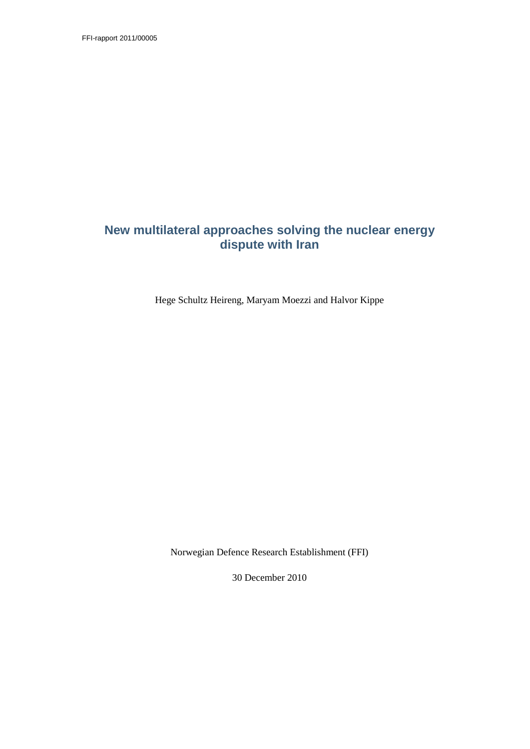FFI-rapport 2011/00005

# **New multilateral approaches solving the nuclear energy dispute with Iran**

Hege Schultz Heireng, Maryam Moezzi and Halvor Kippe

Norwegian Defence Research Establishment (FFI)

30 December 2010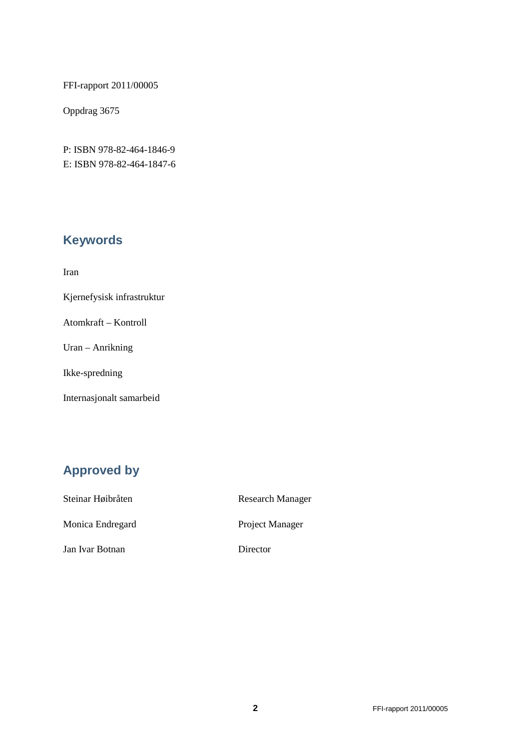FFI-rapport 2011/00005

Oppdrag 3675

P: ISBN 978-82-464-1846-9 E: ISBN 978-82-464-1847-6

# **Keywords**

Iran

Kjernefysisk infrastruktur

Atomkraft – Kontroll

Uran – Anrikning

Ikke-spredning

Internasjonalt samarbeid

# **Approved by**

| Steinar Høibråten | <b>Research Manager</b> |
|-------------------|-------------------------|
| Monica Endregard  | Project Manager         |
| Jan Ivar Botnan   | Director                |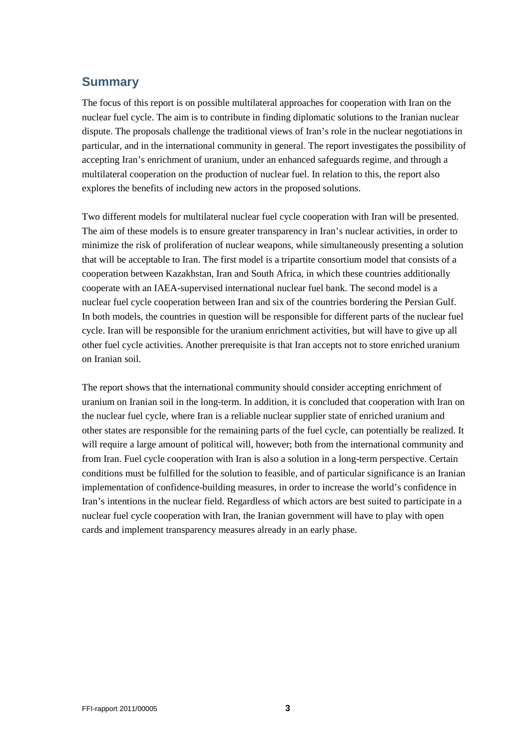# **Summary**

The focus of this report is on possible multilateral approaches for cooperation with Iran on the nuclear fuel cycle. The aim is to contribute in finding diplomatic solutions to the Iranian nuclear dispute. The proposals challenge the traditional views of Iran's role in the nuclear negotiations in particular, and in the international community in general. The report investigates the possibility of accepting Iran's enrichment of uranium, under an enhanced safeguards regime, and through a multilateral cooperation on the production of nuclear fuel. In relation to this, the report also explores the benefits of including new actors in the proposed solutions.

Two different models for multilateral nuclear fuel cycle cooperation with Iran will be presented. The aim of these models is to ensure greater transparency in Iran's nuclear activities, in order to minimize the risk of proliferation of nuclear weapons, while simultaneously presenting a solution that will be acceptable to Iran. The first model is a tripartite consortium model that consists of a cooperation between Kazakhstan, Iran and South Africa, in which these countries additionally cooperate with an IAEA-supervised international nuclear fuel bank. The second model is a nuclear fuel cycle cooperation between Iran and six of the countries bordering the Persian Gulf. In both models, the countries in question will be responsible for different parts of the nuclear fuel cycle. Iran will be responsible for the uranium enrichment activities, but will have to give up all other fuel cycle activities. Another prerequisite is that Iran accepts not to store enriched uranium on Iranian soil.

The report shows that the international community should consider accepting enrichment of uranium on Iranian soil in the long-term. In addition, it is concluded that cooperation with Iran on the nuclear fuel cycle, where Iran is a reliable nuclear supplier state of enriched uranium and other states are responsible for the remaining parts of the fuel cycle, can potentially be realized. It will require a large amount of political will, however; both from the international community and from Iran. Fuel cycle cooperation with Iran is also a solution in a long-term perspective. Certain conditions must be fulfilled for the solution to feasible, and of particular significance is an Iranian implementation of confidence-building measures, in order to increase the world's confidence in Iran's intentions in the nuclear field. Regardless of which actors are best suited to participate in a nuclear fuel cycle cooperation with Iran, the Iranian government will have to play with open cards and implement transparency measures already in an early phase.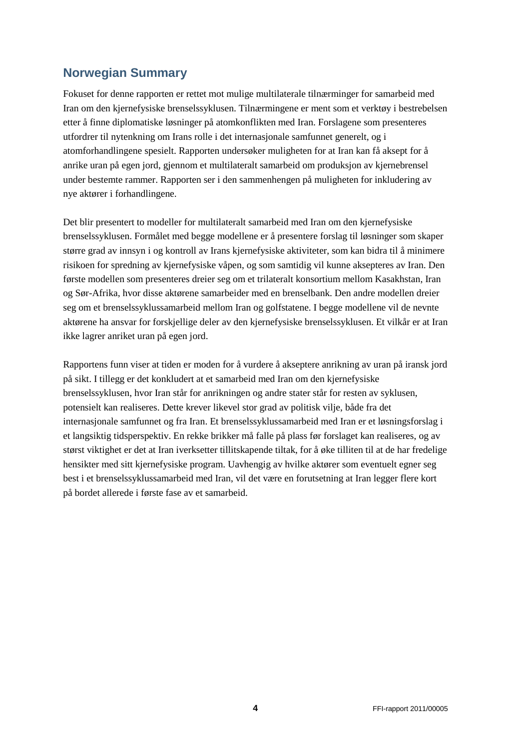# <span id="page-3-0"></span>**Norwegian Summary**

Fokuset for denne rapporten er rettet mot mulige multilaterale tilnærminger for samarbeid med Iran om den kjernefysiske brenselssyklusen. Tilnærmingene er ment som et verktøy i bestrebelsen etter å finne diplomatiske løsninger på atomkonflikten med Iran. Forslagene som presenteres utfordrer til nytenkning om Irans rolle i det internasjonale samfunnet generelt, og i atomforhandlingene spesielt. Rapporten undersøker muligheten for at Iran kan få aksept for å anrike uran på egen jord, gjennom et multilateralt samarbeid om produksjon av kjernebrensel under bestemte rammer. Rapporten ser i den sammenhengen på muligheten for inkludering av nye aktører i forhandlingene.

Det blir presentert to modeller for multilateralt samarbeid med Iran om den kjernefysiske brenselssyklusen. Formålet med begge modellene er å presentere forslag til løsninger som skaper større grad av innsyn i og kontroll av Irans kjernefysiske aktiviteter, som kan bidra til å minimere risikoen for spredning av kjernefysiske våpen, og som samtidig vil kunne aksepteres av Iran. Den første modellen som presenteres dreier seg om et trilateralt konsortium mellom Kasakhstan, Iran og Sør-Afrika, hvor disse aktørene samarbeider med en brenselbank. Den andre modellen dreier seg om et brenselssyklussamarbeid mellom Iran og golfstatene. I begge modellene vil de nevnte aktørene ha ansvar for forskjellige deler av den kjernefysiske brenselssyklusen. Et vilkår er at Iran ikke lagrer anriket uran på egen jord.

Rapportens funn viser at tiden er moden for å vurdere å akseptere anrikning av uran på iransk jord på sikt. I tillegg er det konkludert at et samarbeid med Iran om den kjernefysiske brenselssyklusen, hvor Iran står for anrikningen og andre stater står for resten av syklusen, potensielt kan realiseres. Dette krever likevel stor grad av politisk vilje, både fra det internasjonale samfunnet og fra Iran. Et brenselssyklussamarbeid med Iran er et løsningsforslag i et langsiktig tidsperspektiv. En rekke brikker må falle på plass før forslaget kan realiseres, og av størst viktighet er det at Iran iverksetter tillitskapende tiltak, for å øke tilliten til at de har fredelige hensikter med sitt kjernefysiske program. Uavhengig av hvilke aktører som eventuelt egner seg best i et brenselssyklussamarbeid med Iran, vil det være en forutsetning at Iran legger flere kort på bordet allerede i første fase av et samarbeid.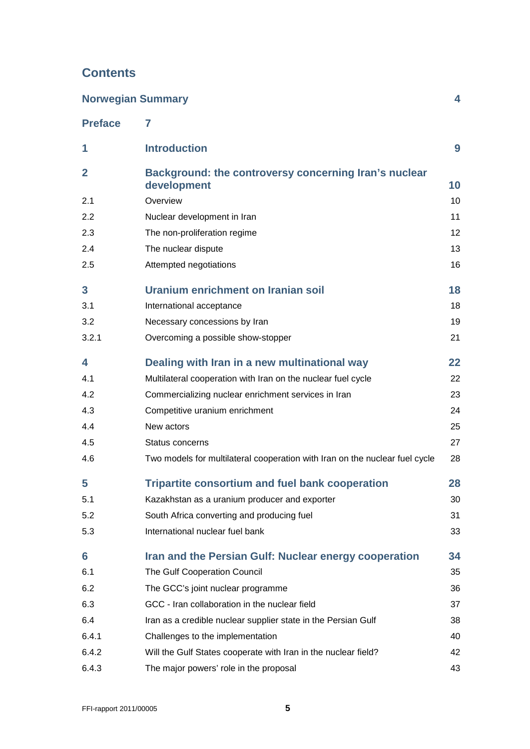# **Contents**

| <b>Norwegian Summary</b><br>4 |                                                                             |    |  |
|-------------------------------|-----------------------------------------------------------------------------|----|--|
| <b>Preface</b>                | 7                                                                           |    |  |
| 1                             | <b>Introduction</b>                                                         | 9  |  |
| $\overline{2}$                | Background: the controversy concerning Iran's nuclear                       |    |  |
|                               | development                                                                 | 10 |  |
| 2.1                           | Overview                                                                    | 10 |  |
| 2.2                           | Nuclear development in Iran                                                 | 11 |  |
| 2.3                           | The non-proliferation regime                                                | 12 |  |
| 2.4                           | The nuclear dispute                                                         | 13 |  |
| 2.5                           | Attempted negotiations                                                      | 16 |  |
| $\mathbf{3}$                  | Uranium enrichment on Iranian soil                                          | 18 |  |
| 3.1                           | International acceptance                                                    | 18 |  |
| 3.2                           | Necessary concessions by Iran                                               | 19 |  |
| 3.2.1                         | Overcoming a possible show-stopper                                          | 21 |  |
| 4                             | Dealing with Iran in a new multinational way                                | 22 |  |
| 4.1                           | Multilateral cooperation with Iran on the nuclear fuel cycle                | 22 |  |
| 4.2                           | Commercializing nuclear enrichment services in Iran                         | 23 |  |
| 4.3                           | Competitive uranium enrichment                                              | 24 |  |
| 4.4                           | New actors                                                                  | 25 |  |
| 4.5                           | Status concerns                                                             | 27 |  |
| 4.6                           | Two models for multilateral cooperation with Iran on the nuclear fuel cycle | 28 |  |
| 5                             | <b>Tripartite consortium and fuel bank cooperation</b>                      | 28 |  |
| 5.1                           | Kazakhstan as a uranium producer and exporter                               | 30 |  |
| 5.2                           | South Africa converting and producing fuel                                  | 31 |  |
| 5.3                           | International nuclear fuel bank                                             | 33 |  |
| 6                             | Iran and the Persian Gulf: Nuclear energy cooperation                       | 34 |  |
| 6.1                           | The Gulf Cooperation Council                                                | 35 |  |
| 6.2                           | The GCC's joint nuclear programme                                           | 36 |  |
| 6.3                           | GCC - Iran collaboration in the nuclear field                               | 37 |  |
| 6.4                           | Iran as a credible nuclear supplier state in the Persian Gulf               | 38 |  |
| 6.4.1                         | Challenges to the implementation                                            | 40 |  |
| 6.4.2                         | Will the Gulf States cooperate with Iran in the nuclear field?              | 42 |  |
| 6.4.3                         | The major powers' role in the proposal                                      | 43 |  |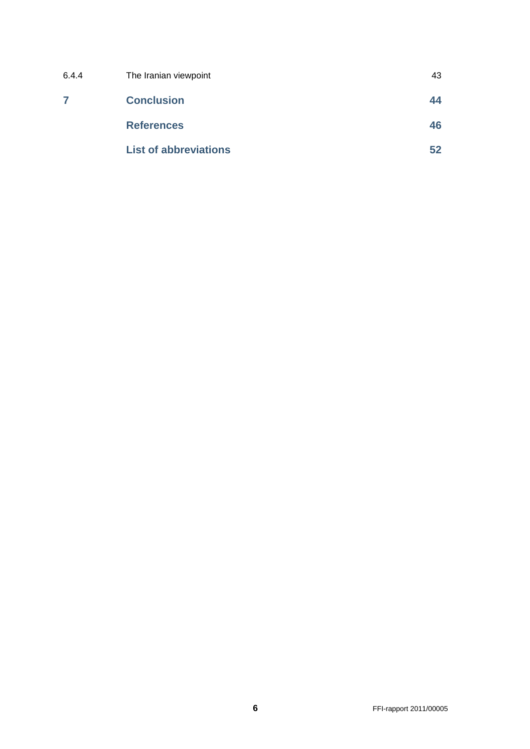| 6.4.4 | The Iranian viewpoint        | 43 |
|-------|------------------------------|----|
|       | <b>Conclusion</b>            | 44 |
|       | <b>References</b>            | 46 |
|       | <b>List of abbreviations</b> | 52 |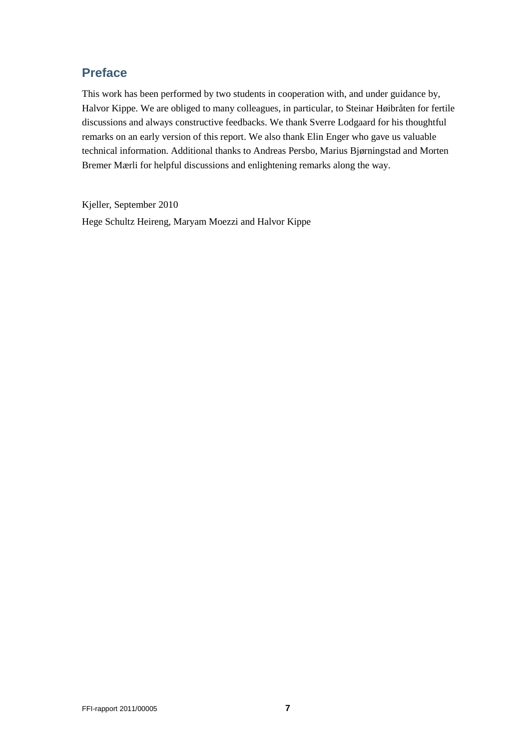# <span id="page-6-0"></span>**Preface**

This work has been performed by two students in cooperation with, and under guidance by, Halvor Kippe. We are obliged to many colleagues, in particular, to Steinar Høibråten for fertile discussions and always constructive feedbacks. We thank Sverre Lodgaard for his thoughtful remarks on an early version of this report. We also thank Elin Enger who gave us valuable technical information. Additional thanks to Andreas Persbo, Marius Bjørningstad and Morten Bremer Mærli for helpful discussions and enlightening remarks along the way.

Kjeller, September 2010 Hege Schultz Heireng, Maryam Moezzi and Halvor Kippe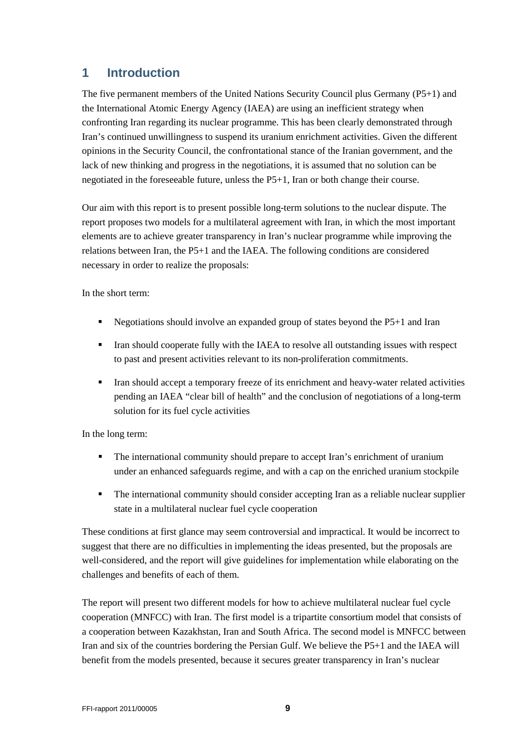# <span id="page-8-0"></span>**1 Introduction**

The five permanent members of the United Nations Security Council plus Germany (P5+1) and the International Atomic Energy Agency (IAEA) are using an inefficient strategy when confronting Iran regarding its nuclear programme. This has been clearly demonstrated through Iran's continued unwillingness to suspend its uranium enrichment activities. Given the different opinions in the Security Council, the confrontational stance of the Iranian government, and the lack of new thinking and progress in the negotiations, it is assumed that no solution can be negotiated in the foreseeable future, unless the P5+1, Iran or both change their course.

Our aim with this report is to present possible long-term solutions to the nuclear dispute. The report proposes two models for a multilateral agreement with Iran, in which the most important elements are to achieve greater transparency in Iran's nuclear programme while improving the relations between Iran, the P5+1 and the IAEA. The following conditions are considered necessary in order to realize the proposals:

In the short term:

- Negotiations should involve an expanded group of states beyond the P5+1 and Iran
- Iran should cooperate fully with the IAEA to resolve all outstanding issues with respect to past and present activities relevant to its non-proliferation commitments.
- Iran should accept a temporary freeze of its enrichment and heavy-water related activities pending an IAEA "clear bill of health" and the conclusion of negotiations of a long-term solution for its fuel cycle activities

In the long term:

- The international community should prepare to accept Iran's enrichment of uranium under an enhanced safeguards regime, and with a cap on the enriched uranium stockpile
- The international community should consider accepting Iran as a reliable nuclear supplier state in a multilateral nuclear fuel cycle cooperation

These conditions at first glance may seem controversial and impractical. It would be incorrect to suggest that there are no difficulties in implementing the ideas presented, but the proposals are well-considered, and the report will give guidelines for implementation while elaborating on the challenges and benefits of each of them.

The report will present two different models for how to achieve multilateral nuclear fuel cycle cooperation (MNFCC) with Iran. The first model is a tripartite consortium model that consists of a cooperation between Kazakhstan, Iran and South Africa. The second model is MNFCC between Iran and six of the countries bordering the Persian Gulf. We believe the P5+1 and the IAEA will benefit from the models presented, because it secures greater transparency in Iran's nuclear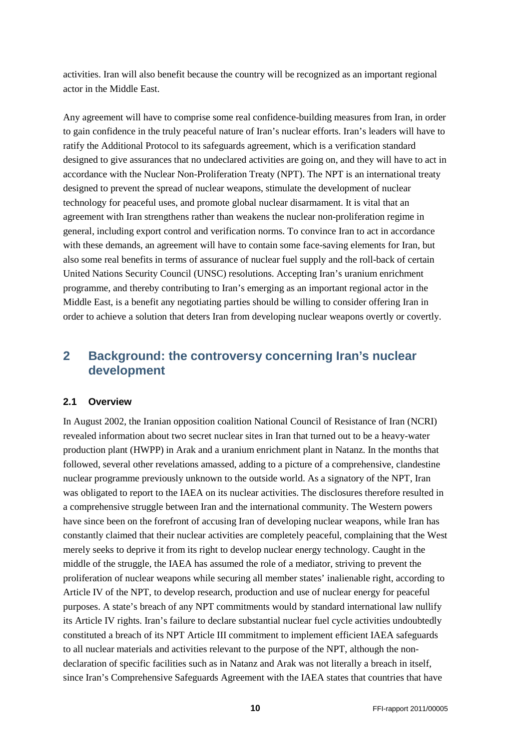activities. Iran will also benefit because the country will be recognized as an important regional actor in the Middle East.

Any agreement will have to comprise some real confidence-building measures from Iran, in order to gain confidence in the truly peaceful nature of Iran's nuclear efforts. Iran's leaders will have to ratify the Additional Protocol to its safeguards agreement, which is a verification standard designed to give assurances that no undeclared activities are going on, and they will have to act in accordance with the Nuclear Non-Proliferation Treaty (NPT). The NPT is an international treaty designed to prevent the spread of nuclear weapons, stimulate the development of nuclear technology for peaceful uses, and promote global nuclear disarmament. It is vital that an agreement with Iran strengthens rather than weakens the nuclear non-proliferation regime in general, including export control and verification norms. To convince Iran to act in accordance with these demands, an agreement will have to contain some face-saving elements for Iran, but also some real benefits in terms of assurance of nuclear fuel supply and the roll-back of certain United Nations Security Council (UNSC) resolutions. Accepting Iran's uranium enrichment programme, and thereby contributing to Iran's emerging as an important regional actor in the Middle East, is a benefit any negotiating parties should be willing to consider offering Iran in order to achieve a solution that deters Iran from developing nuclear weapons overtly or covertly.

# <span id="page-9-0"></span>**2 Background: the controversy concerning Iran's nuclear development**

#### <span id="page-9-1"></span>**2.1 Overview**

In August 2002, the Iranian opposition coalition National Council of Resistance of Iran (NCRI) revealed information about two secret nuclear sites in Iran that turned out to be a heavy-water production plant (HWPP) in Arak and a uranium enrichment plant in Natanz. In the months that followed, several other revelations amassed, adding to a picture of a comprehensive, clandestine nuclear programme previously unknown to the outside world. As a signatory of the NPT, Iran was obligated to report to the IAEA on its nuclear activities. The disclosures therefore resulted in a comprehensive struggle between Iran and the international community. The Western powers have since been on the forefront of accusing Iran of developing nuclear weapons, while Iran has constantly claimed that their nuclear activities are completely peaceful, complaining that the West merely seeks to deprive it from its right to develop nuclear energy technology. Caught in the middle of the struggle, the IAEA has assumed the role of a mediator, striving to prevent the proliferation of nuclear weapons while securing all member states' inalienable right, according to Article IV of the NPT, to develop research, production and use of nuclear energy for peaceful purposes. A state's breach of any NPT commitments would by standard international law nullify its Article IV rights. Iran's failure to declare substantial nuclear fuel cycle activities undoubtedly constituted a breach of its NPT Article III commitment to implement efficient IAEA safeguards to all nuclear materials and activities relevant to the purpose of the NPT, although the nondeclaration of specific facilities such as in Natanz and Arak was not literally a breach in itself, since Iran's Comprehensive Safeguards Agreement with the IAEA states that countries that have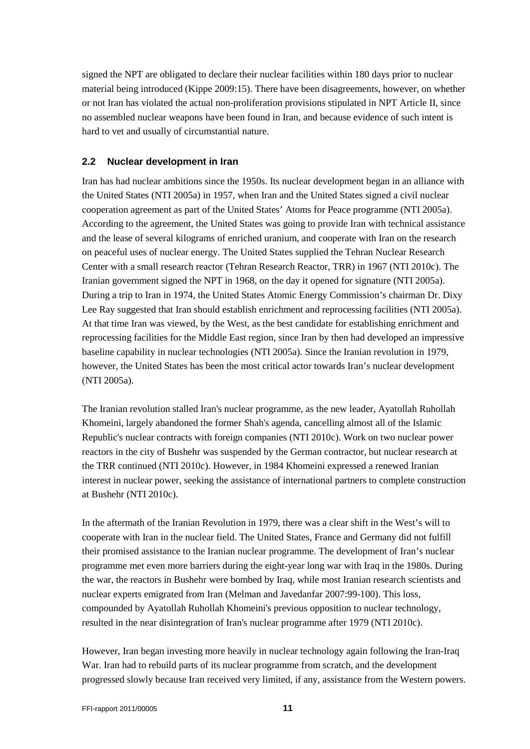signed the NPT are obligated to declare their nuclear facilities within 180 days prior to nuclear material being introduced (Kippe 2009:15). There have been disagreements, however, on whether or not Iran has violated the actual non-proliferation provisions stipulated in NPT Article II, since no assembled nuclear weapons have been found in Iran, and because evidence of such intent is hard to vet and usually of circumstantial nature.

## <span id="page-10-0"></span>**2.2 Nuclear development in Iran**

Iran has had nuclear ambitions since the 1950s. Its nuclear development began in an alliance with the United States (NTI 2005a) in 1957, when Iran and the United States signed a civil nuclear cooperation agreement as part of the United States' Atoms for Peace programme (NTI 2005a). According to the agreement, the United States was going to provide Iran with technical assistance and the lease of several kilograms of enriched uranium, and cooperate with Iran on the research on peaceful uses of nuclear energy. The United States supplied the Tehran Nuclear Research Center with a small research reactor (Tehran Research Reactor, TRR) in 1967 (NTI 2010c). The Iranian government signed the NPT in 1968, on the day it opened for signature (NTI 2005a). During a trip to Iran in 1974, the United States Atomic Energy Commission's chairman Dr. Dixy Lee Ray suggested that Iran should establish enrichment and reprocessing facilities (NTI 2005a). At that time Iran was viewed, by the West, as the best candidate for establishing enrichment and reprocessing facilities for the Middle East region, since Iran by then had developed an impressive baseline capability in nuclear technologies (NTI 2005a). Since the Iranian revolution in 1979, however, the United States has been the most critical actor towards Iran's nuclear development (NTI 2005a).

The Iranian revolution stalled Iran's nuclear programme, as the new leader, Ayatollah Ruhollah Khomeini, largely abandoned the former Shah's agenda, cancelling almost all of the Islamic Republic's nuclear contracts with foreign companies (NTI 2010c). Work on two nuclear power reactors in the city of Bushehr was suspended by the German contractor, but nuclear research at the TRR continued (NTI 2010c). However, in 1984 Khomeini expressed a renewed Iranian interest in nuclear power, seeking the assistance of international partners to complete construction at Bushehr (NTI 2010c).

In the aftermath of the Iranian Revolution in 1979, there was a clear shift in the West's will to cooperate with Iran in the nuclear field. The United States, France and Germany did not fulfill their promised assistance to the Iranian nuclear programme. The development of Iran's nuclear programme met even more barriers during the eight-year long war with Iraq in the 1980s. During the war, the reactors in Bushehr were bombed by Iraq, while most Iranian research scientists and nuclear experts emigrated from Iran (Melman and Javedanfar 2007:99-100). This loss, compounded by Ayatollah Ruhollah Khomeini's previous opposition to nuclear technology, resulted in the near disintegration of Iran's nuclear programme after 1979 (NTI 2010c).

However, Iran began investing more heavily in nuclear technology again following the Iran-Iraq War. Iran had to rebuild parts of its nuclear programme from scratch, and the development progressed slowly because Iran received very limited, if any, assistance from the Western powers.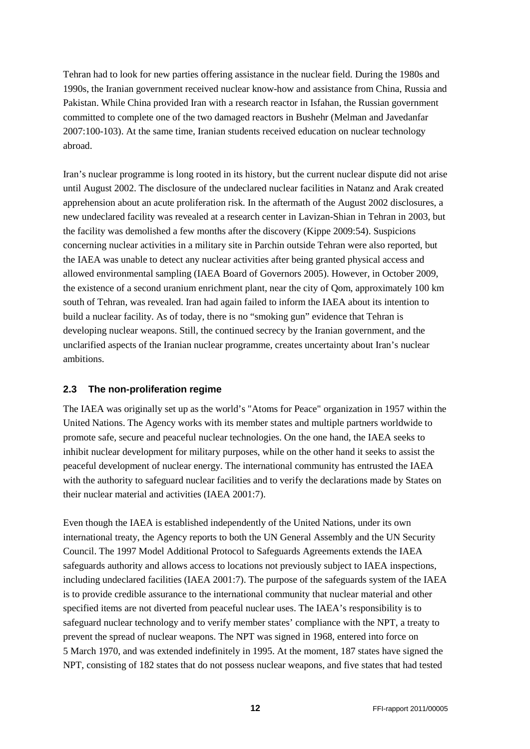Tehran had to look for new parties offering assistance in the nuclear field. During the 1980s and 1990s, the Iranian government received nuclear know-how and assistance from China, Russia and Pakistan. While China provided Iran with a research reactor in Isfahan, the Russian government committed to complete one of the two damaged reactors in Bushehr (Melman and Javedanfar 2007:100-103). At the same time, Iranian students received education on nuclear technology abroad.

Iran's nuclear programme is long rooted in its history, but the current nuclear dispute did not arise until August 2002. The disclosure of the undeclared nuclear facilities in Natanz and Arak created apprehension about an acute proliferation risk. In the aftermath of the August 2002 disclosures, a new undeclared facility was revealed at a research center in Lavizan-Shian in Tehran in 2003, but the facility was demolished a few months after the discovery (Kippe 2009:54). Suspicions concerning nuclear activities in a military site in Parchin outside Tehran were also reported, but the IAEA was unable to detect any nuclear activities after being granted physical access and allowed environmental sampling (IAEA Board of Governors 2005). However, in October 2009, the existence of a second uranium enrichment plant, near the city of Qom, approximately 100 km south of Tehran, was revealed. Iran had again failed to inform the IAEA about its intention to build a nuclear facility. As of today, there is no "smoking gun" evidence that Tehran is developing nuclear weapons. Still, the continued secrecy by the Iranian government, and the unclarified aspects of the Iranian nuclear programme, creates uncertainty about Iran's nuclear ambitions.

## <span id="page-11-0"></span>**2.3 The non-proliferation regime**

The IAEA was originally set up as the world's "Atoms for Peace" organization in 1957 within the United Nations. The Agency works with its member states and multiple partners worldwide to promote safe, secure and peaceful nuclear technologies. On the one hand, the IAEA seeks to inhibit nuclear development for military purposes, while on the other hand it seeks to assist the peaceful development of nuclear energy. The international community has entrusted the IAEA with the authority to safeguard nuclear facilities and to verify the declarations made by States on their nuclear material and activities (IAEA 2001:7).

Even though the IAEA is established independently of the United Nations, under its own international treaty, the Agency reports to both the UN General Assembly and the UN Security Council. The 1997 Model Additional Protocol to Safeguards Agreements extends the IAEA safeguards authority and allows access to locations not previously subject to IAEA inspections, including undeclared facilities (IAEA 2001:7). The purpose of the safeguards system of the IAEA is to provide credible assurance to the international community that nuclear material and other specified items are not diverted from peaceful nuclear uses. The IAEA's responsibility is to safeguard nuclear technology and to verify member states' compliance with the NPT, [a treaty](http://en.wikipedia.org/wiki/Treaty) to prevent the spread of nuclear weapons. The NPT was signed in 1968, entered into force on 5 March 1970, and was extended indefinitely in 1995. At the moment, 187 states have signed the NPT, consisting of 182 states that do not possess nuclear weapons, and five states that had tested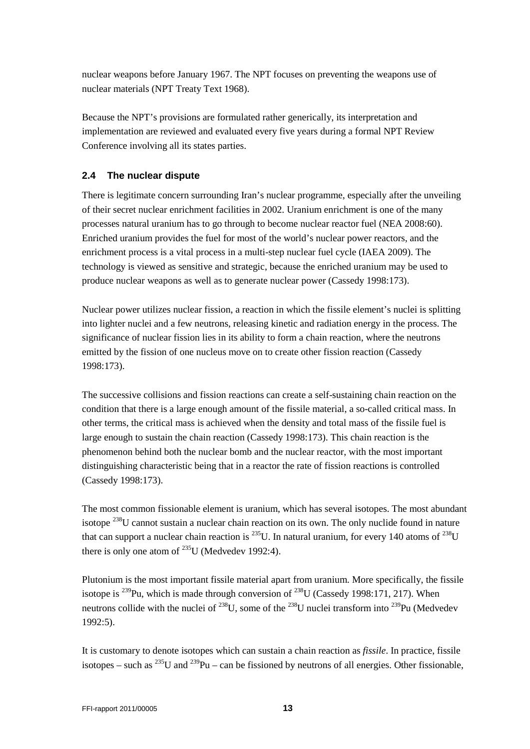nuclear weapons before January 1967. The NPT focuses on preventing the weapons use of nuclear materials (NPT Treaty Text 1968).

Because the NPT's provisions are formulated rather generically, its interpretation and implementation are reviewed and evaluated every five years during a formal NPT Review Conference involving all its states parties.

# <span id="page-12-0"></span>**2.4 The nuclear dispute**

There is legitimate concern surrounding Iran's nuclear programme, especially after the unveiling of their secret nuclear enrichment facilities in 2002. Uranium enrichment is one of the many processes natural uranium has to go through to become nuclear reactor fuel (NEA 2008:60). Enriched uranium provides the fuel for most of the world's nuclear power reactors, and the enrichment process is a vital process in a multi-step nuclear fuel cycle (IAEA 2009). The technology is viewed as sensitive and strategic, because the enriched uranium may be used to produce nuclear weapons as well as to generate nuclear power (Cassedy 1998:173).

Nuclear power utilizes nuclear fission, a reaction in which the fissile element's nuclei is splitting into lighter nuclei and a few neutrons, releasing kinetic and radiation energy in the process. The significance of nuclear fission lies in its ability to form a chain reaction, where the neutrons emitted by the fission of one nucleus move on to create other fission reaction (Cassedy 1998:173).

The successive collisions and fission reactions can create a self-sustaining chain reaction on the condition that there is a large enough amount of the fissile material, a so-called critical mass. In other terms, the critical mass is achieved when the density and total mass of the fissile fuel is large enough to sustain the chain reaction (Cassedy 1998:173). This chain reaction is the phenomenon behind both the nuclear bomb and the nuclear reactor, with the most important distinguishing characteristic being that in a reactor the rate of fission reactions is controlled (Cassedy 1998:173).

The most common fissionable element is uranium, which has several isotopes. The most abundant isotope <sup>238</sup>U cannot sustain a nuclear chain reaction on its own. The only nuclide found in nature that can support a nuclear chain reaction is  $^{235}$ U. In natural uranium, for every 140 atoms of  $^{238}$ U there is only one atom of  $^{235}$ U (Medvedev 1992:4).

Plutonium is the most important fissile material apart from uranium. More specifically, the fissile isotope is <sup>239</sup>Pu, which is made through conversion of <sup>238</sup>U (Cassedy 1998:171, 217). When neutrons collide with the nuclei of  $^{238}U$ , some of the  $^{238}U$  nuclei transform into  $^{239}Pu$  (Medvedev 1992:5).

It is customary to denote isotopes which can sustain a chain reaction as *fissile*. In practice, fissile isotopes – such as  $^{235}$ U and  $^{239}$ Pu – can be fissioned by neutrons of all energies. Other fissionable,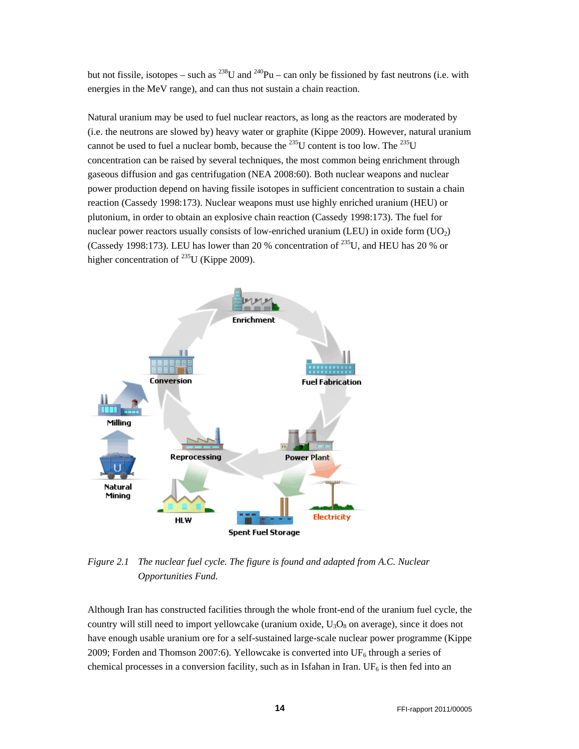but not fissile, isotopes – such as  $^{238}$ U and  $^{240}$ Pu – can only be fissioned by fast neutrons (i.e. with energies in the MeV range), and can thus not sustain a chain reaction.

Natural uranium may be used to fuel nuclear reactors, as long as the reactors are moderated by (i.e. the neutrons are slowed by) heavy water or graphite (Kippe 2009). However, natural uranium cannot be used to fuel a nuclear bomb, because the <sup>235</sup>U content is too low. The <sup>235</sup>U concentration can be raised by several techniques, the most common being enrichment through gaseous diffusion and gas centrifugation (NEA 2008:60). Both nuclear weapons and nuclear power production depend on having fissile isotopes in sufficient concentration to sustain a chain reaction (Cassedy 1998:173). Nuclear weapons must use highly enriched uranium (HEU) or plutonium, in order to obtain an explosive chain reaction (Cassedy 1998:173). The fuel for nuclear power reactors usually consists of low-enriched uranium (LEU) in oxide form  $(UO<sub>2</sub>)$ (Cassedy 1998:173). LEU has lower than 20 % concentration of  $^{235}$ U, and HEU has 20 % or higher concentration of <sup>235</sup>U (Kippe 2009).



*Figure 2.1 The nuclear fuel cycle. The figure is found and adapted from A.C. Nuclear Opportunities Fund.* 

Although Iran has constructed facilities through the whole front-end of the uranium fuel cycle, the country will still need to import yellowcake (uranium oxide,  $U_3O_8$  on average), since it does not have enough usable uranium ore for a self-sustained large-scale nuclear power programme (Kippe 2009; Forden and Thomson 2007:6). Yellowcake is converted into  $UF_6$  through a series of chemical processes in a conversion facility, such as in Isfahan in Iran. UF<sub>6</sub> is then fed into an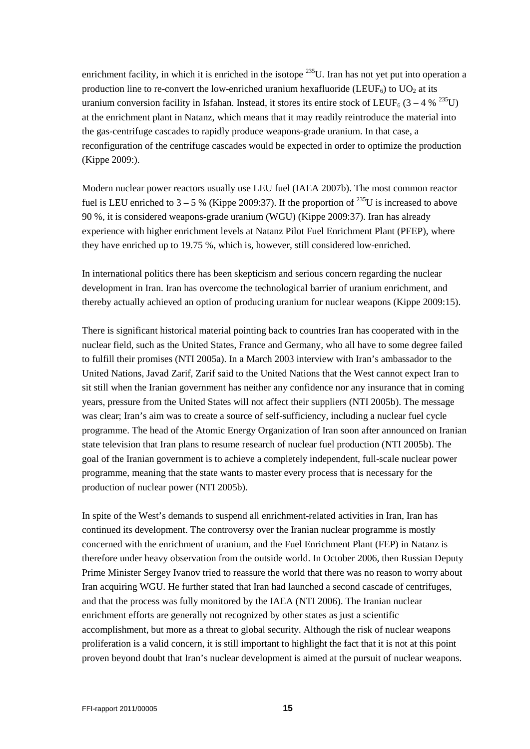enrichment facility, in which it is enriched in the isotope <sup>235</sup>U. Iran has not yet put into operation a production line to re-convert the low-enriched uranium hexafluoride (LEUF<sub>6</sub>) to UO<sub>2</sub> at its uranium conversion facility in Isfahan. Instead, it stores its entire stock of LEUF<sub>6</sub> (3 – 4 % <sup>235</sup>U) at the enrichment plant in Natanz, which means that it may readily reintroduce the material into the gas-centrifuge cascades to rapidly produce weapons-grade uranium. In that case, a reconfiguration of the centrifuge cascades would be expected in order to optimize the production (Kippe 2009:).

Modern nuclear power reactors usually use LEU fuel (IAEA 2007b). The most common reactor fuel is LEU enriched to  $3 - 5$  % (Kippe 2009:37). If the proportion of <sup>235</sup>U is increased to above 90 %, it is considered weapons-grade uranium (WGU) (Kippe 2009:37). Iran has already experience with higher enrichment levels at Natanz Pilot Fuel Enrichment Plant (PFEP), where they have enriched up to 19.75 %, which is, however, still considered low-enriched.

In international politics there has been skepticism and serious concern regarding the nuclear development in Iran. Iran has overcome the technological barrier of uranium enrichment, and thereby actually achieved an option of producing uranium for nuclear weapons (Kippe 2009:15).

There is significant historical material pointing back to countries Iran has cooperated with in the nuclear field, such as the United States, France and Germany, who all have to some degree failed to fulfill their promises (NTI 2005a). In a March 2003 interview with Iran's ambassador to the United Nations, Javad Zarif, Zarif said to the United Nations that the West cannot expect Iran to sit still when the Iranian government has neither any confidence nor any insurance that in coming years, pressure from the United States will not affect their suppliers (NTI 2005b). The message was clear; Iran's aim was to create a source of self-sufficiency, including a nuclear fuel cycle programme. The head of the Atomic Energy Organization of Iran soon after announced on Iranian state television that Iran plans to resume research of nuclear fuel production (NTI 2005b). The goal of the Iranian government is to achieve a completely independent, full-scale nuclear power programme, meaning that the state wants to master every process that is necessary for the production of nuclear power (NTI 2005b).

In spite of the West's demands to suspend all enrichment-related activities in Iran, Iran has continued its development. The controversy over the Iranian nuclear programme is mostly concerned with the enrichment of uranium, and the Fuel Enrichment Plant (FEP) in Natanz is therefore under heavy observation from the outside world. In October 2006, then Russian Deputy Prime Minister Sergey Ivanov tried to reassure the world that there was no reason to worry about Iran acquiring WGU. He further stated that Iran had launched a second cascade of centrifuges, and that the process was fully monitored by the IAEA (NTI 2006). The Iranian nuclear enrichment efforts are generally not recognized by other states as just a scientific accomplishment, but more as a threat to global security. Although the risk of nuclear weapons proliferation is a valid concern, it is still important to highlight the fact that it is not at this point proven beyond doubt that Iran's nuclear development is aimed at the pursuit of nuclear weapons.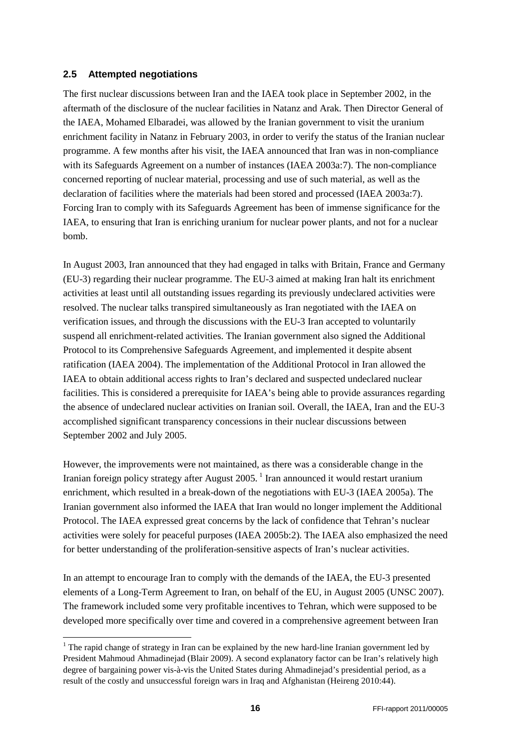#### <span id="page-15-0"></span>**2.5 Attempted negotiations**

The first nuclear discussions between Iran and the IAEA took place in September 2002, in the aftermath of the disclosure of the nuclear facilities in Natanz and Arak. Then Director General of the IAEA, Mohamed Elbaradei, was allowed by the Iranian government to visit the uranium enrichment facility in Natanz in February 2003, in order to verify the status of the Iranian nuclear programme. A few months after his visit, the IAEA announced that Iran was in non-compliance with its Safeguards Agreement on a number of instances (IAEA 2003a:7). The non-compliance concerned reporting of nuclear material, processing and use of such material, as well as the declaration of facilities where the materials had been stored and processed (IAEA 2003a:7). Forcing Iran to comply with its Safeguards Agreement has been of immense significance for the IAEA, to ensuring that Iran is enriching uranium for nuclear power plants, and not for a nuclear bomb.

In August 2003, Iran announced that they had engaged in talks with Britain, France and Germany (EU-3) regarding their nuclear programme. The EU-3 aimed at making Iran halt its enrichment activities at least until all outstanding issues regarding its previously undeclared activities were resolved. The nuclear talks transpired simultaneously as Iran negotiated with the IAEA on verification issues, and through the discussions with the EU-3 Iran accepted to voluntarily suspend all enrichment-related activities. The Iranian government also signed the Additional Protocol to its Comprehensive Safeguards Agreement, and implemented it despite absent ratification (IAEA 2004). The implementation of the Additional Protocol in Iran allowed the IAEA to obtain additional access rights to Iran's declared and suspected undeclared nuclear facilities. This is considered a prerequisite for IAEA's being able to provide assurances regarding the absence of undeclared nuclear activities on Iranian soil. Overall, the IAEA, Iran and the EU-3 accomplished significant transparency concessions in their nuclear discussions between September 2002 and July 2005.

However, the improvements were not maintained, as there was a considerable change in the Iranian foreign policy strategy after August 2005.<sup>[1](#page-15-1)</sup> Iran announced it would restart uranium enrichment, which resulted in a break-down of the negotiations with EU-3 (IAEA 2005a). The Iranian government also informed the IAEA that Iran would no longer implement the Additional Protocol. The IAEA expressed great concerns by the lack of confidence that Tehran's nuclear activities were solely for peaceful purposes (IAEA 2005b:2). The IAEA also emphasized the need for better understanding of the proliferation-sensitive aspects of Iran's nuclear activities.

In an attempt to encourage Iran to comply with the demands of the IAEA, the EU-3 presented elements of a Long-Term Agreement to Iran, on behalf of the EU, in August 2005 (UNSC 2007). The framework included some very profitable incentives to Tehran, which were supposed to be developed more specifically over time and covered in a comprehensive agreement between Iran

<span id="page-15-1"></span> $1$  The rapid change of strategy in Iran can be explained by the new hard-line Iranian government led by President Mahmoud Ahmadinejad (Blair 2009). A second explanatory factor can be Iran's relatively high degree of bargaining power vis-à-vis the United States during Ahmadinejad's presidential period, as a result of the costly and unsuccessful foreign wars in Iraq and Afghanistan (Heireng 2010:44).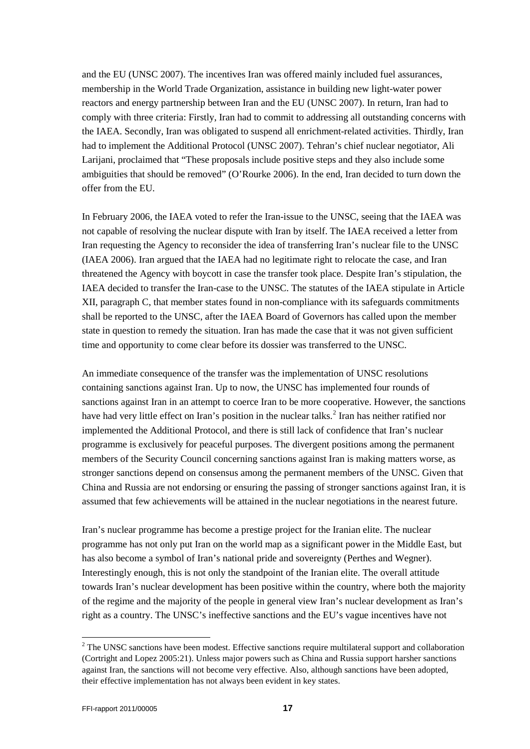and the EU (UNSC 2007). The incentives Iran was offered mainly included fuel assurances, membership in the World Trade Organization, assistance in building new light-water power reactors and energy partnership between Iran and the EU (UNSC 2007). In return, Iran had to comply with three criteria: Firstly, Iran had to commit to addressing all outstanding concerns with the IAEA. Secondly, Iran was obligated to suspend all enrichment-related activities. Thirdly, Iran had to implement the Additional Protocol (UNSC 2007). Tehran's chief nuclear negotiator, Ali Larijani, proclaimed that "These proposals include positive steps and they also include some ambiguities that should be removed" (O'Rourke 2006). In the end, Iran decided to turn down the offer from the EU.

In February 2006, the IAEA voted to refer the Iran-issue to the UNSC, seeing that the IAEA was not capable of resolving the nuclear dispute with Iran by itself. The IAEA received a letter from Iran requesting the Agency to reconsider the idea of transferring Iran's nuclear file to the UNSC (IAEA 2006). Iran argued that the IAEA had no legitimate right to relocate the case, and Iran threatened the Agency with boycott in case the transfer took place. Despite Iran's stipulation, the IAEA decided to transfer the Iran-case to the UNSC. The statutes of the IAEA stipulate in Article XII, paragraph C, that member states found in non-compliance with its safeguards commitments shall be reported to the UNSC, after the IAEA Board of Governors has called upon the member state in question to remedy the situation. Iran has made the case that it was not given sufficient time and opportunity to come clear before its dossier was transferred to the UNSC.

An immediate consequence of the transfer was the implementation of UNSC resolutions containing sanctions against Iran. Up to now, the UNSC has implemented four rounds of sanctions against Iran in an attempt to coerce Iran to be more cooperative. However, the sanctions have had very little effect on Iran's position in the nuclear talks.<sup>[2](#page-16-0)</sup> Iran has neither ratified nor implemented the Additional Protocol, and there is still lack of confidence that Iran's nuclear programme is exclusively for peaceful purposes. The divergent positions among the permanent members of the Security Council concerning sanctions against Iran is making matters worse, as stronger sanctions depend on consensus among the permanent members of the UNSC. Given that China and Russia are not endorsing or ensuring the passing of stronger sanctions against Iran, it is assumed that few achievements will be attained in the nuclear negotiations in the nearest future.

Iran's nuclear programme has become a prestige project for the Iranian elite. The nuclear programme has not only put Iran on the world map as a significant power in the Middle East, but has also become a symbol of Iran's national pride and sovereignty (Perthes and Wegner). Interestingly enough, this is not only the standpoint of the Iranian elite. The overall attitude towards Iran's nuclear development has been positive within the country, where both the majority of the regime and the majority of the people in general view Iran's nuclear development as Iran's right as a country. The UNSC's ineffective sanctions and the EU's vague incentives have not

<span id="page-16-0"></span><sup>&</sup>lt;sup>2</sup> The UNSC sanctions have been modest. Effective sanctions require multilateral support and collaboration (Cortright and Lopez 2005:21). Unless major powers such as China and Russia support harsher sanctions against Iran, the sanctions will not become very effective. Also, although sanctions have been adopted, their effective implementation has not always been evident in key states.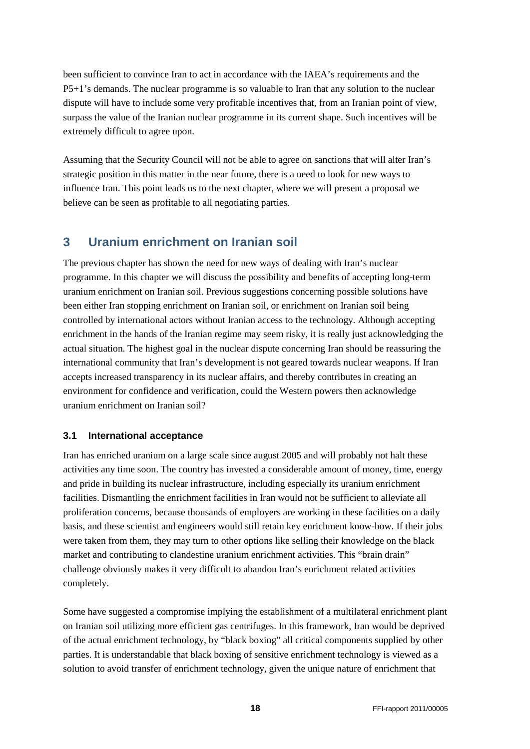been sufficient to convince Iran to act in accordance with the IAEA's requirements and the P5+1's demands. The nuclear programme is so valuable to Iran that any solution to the nuclear dispute will have to include some very profitable incentives that, from an Iranian point of view, surpass the value of the Iranian nuclear programme in its current shape. Such incentives will be extremely difficult to agree upon.

Assuming that the Security Council will not be able to agree on sanctions that will alter Iran's strategic position in this matter in the near future, there is a need to look for new ways to influence Iran. This point leads us to the next chapter, where we will present a proposal we believe can be seen as profitable to all negotiating parties.

# <span id="page-17-0"></span>**3 Uranium enrichment on Iranian soil**

The previous chapter has shown the need for new ways of dealing with Iran's nuclear programme. In this chapter we will discuss the possibility and benefits of accepting long-term uranium enrichment on Iranian soil. Previous suggestions concerning possible solutions have been either Iran stopping enrichment on Iranian soil, or enrichment on Iranian soil being controlled by international actors without Iranian access to the technology. Although accepting enrichment in the hands of the Iranian regime may seem risky, it is really just acknowledging the actual situation. The highest goal in the nuclear dispute concerning Iran should be reassuring the international community that Iran's development is not geared towards nuclear weapons. If Iran accepts increased transparency in its nuclear affairs, and thereby contributes in creating an environment for confidence and verification, could the Western powers then acknowledge uranium enrichment on Iranian soil?

## <span id="page-17-1"></span>**3.1 International acceptance**

Iran has enriched uranium on a large scale since august 2005 and will probably not halt these activities any time soon. The country has invested a considerable amount of money, time, energy and pride in building its nuclear infrastructure, including especially its uranium enrichment facilities. Dismantling the enrichment facilities in Iran would not be sufficient to alleviate all proliferation concerns, because thousands of employers are working in these facilities on a daily basis, and these scientist and engineers would still retain key enrichment know-how. If their jobs were taken from them, they may turn to other options like selling their knowledge on the black market and contributing to clandestine uranium enrichment activities. This "brain drain" challenge obviously makes it very difficult to abandon Iran's enrichment related activities completely.

Some have suggested a compromise implying the establishment of a multilateral enrichment plant on Iranian soil utilizing more efficient gas centrifuges. In this framework, Iran would be deprived of the actual enrichment technology, by "black boxing" all critical components supplied by other parties. It is understandable that black boxing of sensitive enrichment technology is viewed as a solution to avoid transfer of enrichment technology, given the unique nature of enrichment that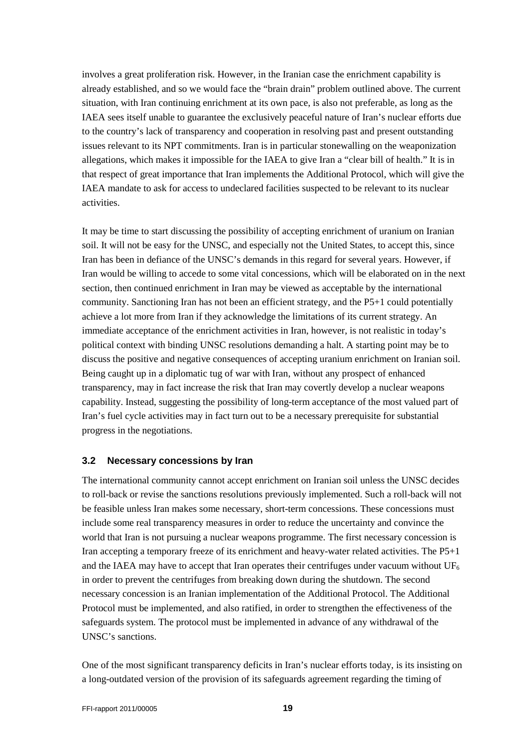involves a great proliferation risk. However, in the Iranian case the enrichment capability is already established, and so we would face the "brain drain" problem outlined above. The current situation, with Iran continuing enrichment at its own pace, is also not preferable, as long as the IAEA sees itself unable to guarantee the exclusively peaceful nature of Iran's nuclear efforts due to the country's lack of transparency and cooperation in resolving past and present outstanding issues relevant to its NPT commitments. Iran is in particular stonewalling on the weaponization allegations, which makes it impossible for the IAEA to give Iran a "clear bill of health." It is in that respect of great importance that Iran implements the Additional Protocol, which will give the IAEA mandate to ask for access to undeclared facilities suspected to be relevant to its nuclear activities.

It may be time to start discussing the possibility of accepting enrichment of uranium on Iranian soil. It will not be easy for the UNSC, and especially not the United States, to accept this, since Iran has been in defiance of the UNSC's demands in this regard for several years. However, if Iran would be willing to accede to some vital concessions, which will be elaborated on in the next section, then continued enrichment in Iran may be viewed as acceptable by the international community. Sanctioning Iran has not been an efficient strategy, and the P5+1 could potentially achieve a lot more from Iran if they acknowledge the limitations of its current strategy. An immediate acceptance of the enrichment activities in Iran, however, is not realistic in today's political context with binding UNSC resolutions demanding a halt. A starting point may be to discuss the positive and negative consequences of accepting uranium enrichment on Iranian soil. Being caught up in a diplomatic tug of war with Iran, without any prospect of enhanced transparency, may in fact increase the risk that Iran may covertly develop a nuclear weapons capability. Instead, suggesting the possibility of long-term acceptance of the most valued part of Iran's fuel cycle activities may in fact turn out to be a necessary prerequisite for substantial progress in the negotiations.

#### <span id="page-18-0"></span>**3.2 Necessary concessions by Iran**

The international community cannot accept enrichment on Iranian soil unless the UNSC decides to roll-back or revise the sanctions resolutions previously implemented. Such a roll-back will not be feasible unless Iran makes some necessary, short-term concessions. These concessions must include some real transparency measures in order to reduce the uncertainty and convince the world that Iran is not pursuing a nuclear weapons programme. The first necessary concession is Iran accepting a temporary freeze of its enrichment and heavy-water related activities. The P5+1 and the IAEA may have to accept that Iran operates their centrifuges under vacuum without  $UF<sub>6</sub>$ in order to prevent the centrifuges from breaking down during the shutdown. The second necessary concession is an Iranian implementation of the Additional Protocol. The Additional Protocol must be implemented, and also ratified, in order to strengthen the effectiveness of the safeguards system. The protocol must be implemented in advance of any withdrawal of the UNSC's sanctions.

One of the most significant transparency deficits in Iran's nuclear efforts today, is its insisting on a long-outdated version of the provision of its safeguards agreement regarding the timing of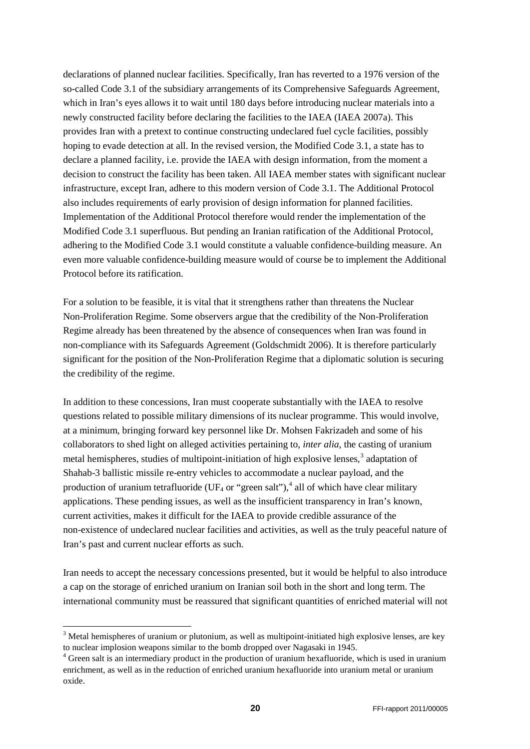declarations of planned nuclear facilities. Specifically, Iran has reverted to a 1976 version of the so-called Code 3.1 of the subsidiary arrangements of its Comprehensive Safeguards Agreement, which in Iran's eyes allows it to wait until 180 days before introducing nuclear materials into a newly constructed facility before declaring the facilities to the IAEA (IAEA 2007a). This provides Iran with a pretext to continue constructing undeclared fuel cycle facilities, possibly hoping to evade detection at all. In the revised version, the Modified Code 3.1, a state has to declare a planned facility, i.e. provide the IAEA with design information, from the moment a decision to construct the facility has been taken. All IAEA member states with significant nuclear infrastructure, except Iran, adhere to this modern version of Code 3.1. The Additional Protocol also includes requirements of early provision of design information for planned facilities. Implementation of the Additional Protocol therefore would render the implementation of the Modified Code 3.1 superfluous. But pending an Iranian ratification of the Additional Protocol, adhering to the Modified Code 3.1 would constitute a valuable confidence-building measure. An even more valuable confidence-building measure would of course be to implement the Additional Protocol before its ratification.

For a solution to be feasible, it is vital that it strengthens rather than threatens the Nuclear Non-Proliferation Regime. Some observers argue that the credibility of the Non-Proliferation Regime already has been threatened by the absence of consequences when Iran was found in non-compliance with its Safeguards Agreement (Goldschmidt 2006). It is therefore particularly significant for the position of the Non-Proliferation Regime that a diplomatic solution is securing the credibility of the regime.

In addition to these concessions, Iran must cooperate substantially with the IAEA to resolve questions related to possible military dimensions of its nuclear programme. This would involve, at a minimum, bringing forward key personnel like Dr. Mohsen Fakrizadeh and some of his collaborators to shed light on alleged activities pertaining to, *inter alia,* the casting of uranium metal hemispheres, studies of multipoint-initiation of high explosive lenses,<sup>[3](#page-19-0)</sup> adaptation of Shahab-3 ballistic missile re-entry vehicles to accommodate a nuclear payload, and the production of uranium tetrafluoride (UF<sub>[4](#page-19-1)</sub> or "green salt"),<sup>4</sup> all of which have clear military applications. These pending issues, as well as the insufficient transparency in Iran's known, current activities, makes it difficult for the IAEA to provide credible assurance of the non-existence of undeclared nuclear facilities and activities, as well as the truly peaceful nature of Iran's past and current nuclear efforts as such.

Iran needs to accept the necessary concessions presented, but it would be helpful to also introduce a cap on the storage of enriched uranium on Iranian soil both in the short and long term. The international community must be reassured that significant quantities of enriched material will not

<span id="page-19-0"></span><sup>&</sup>lt;sup>3</sup> Metal hemispheres of uranium or plutonium, as well as multipoint-initiated high explosive lenses, are key to nuclear implosion weapons similar to the bomb dropped over Nagasaki in 1945.

<span id="page-19-1"></span><sup>&</sup>lt;sup>4</sup> Green salt is an intermediary product in the production of uranium hexafluoride, which is used in uranium enrichment, as well as in the reduction of enriched uranium hexafluoride into uranium metal or uranium oxide.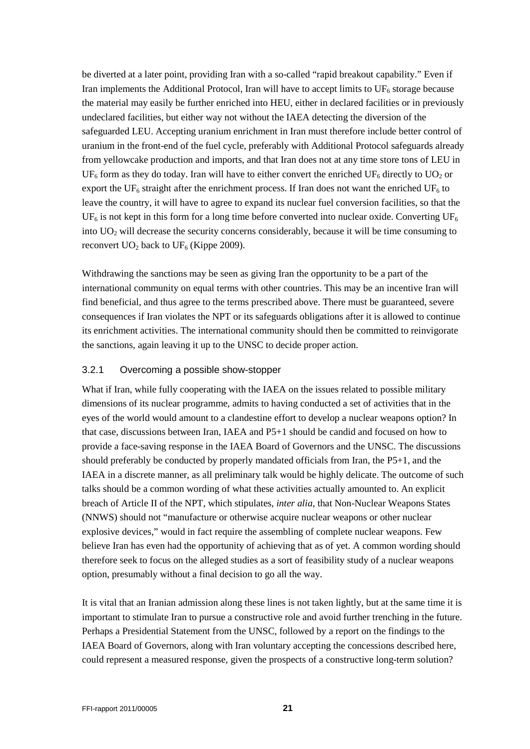be diverted at a later point, providing Iran with a so-called "rapid breakout capability." Even if Iran implements the Additional Protocol, Iran will have to accept limits to  $UF_6$  storage because the material may easily be further enriched into HEU, either in declared facilities or in previously undeclared facilities, but either way not without the IAEA detecting the diversion of the safeguarded LEU. Accepting uranium enrichment in Iran must therefore include better control of uranium in the front-end of the fuel cycle, preferably with Additional Protocol safeguards already from yellowcake production and imports, and that Iran does not at any time store tons of LEU in  $UF_6$  form as they do today. Iran will have to either convert the enriched  $UF_6$  directly to  $UO_2$  or export the UF<sub>6</sub> straight after the enrichment process. If Iran does not want the enriched UF<sub>6</sub> to leave the country, it will have to agree to expand its nuclear fuel conversion facilities, so that the  $UF_6$  is not kept in this form for a long time before converted into nuclear oxide. Converting  $UF_6$ into UO2 will decrease the security concerns considerably, because it will be time consuming to reconvert  $UO_2$  back to  $UF_6$  (Kippe 2009).

Withdrawing the sanctions may be seen as giving Iran the opportunity to be a part of the international community on equal terms with other countries. This may be an incentive Iran will find beneficial, and thus agree to the terms prescribed above. There must be guaranteed, severe consequences if Iran violates the NPT or its safeguards obligations after it is allowed to continue its enrichment activities. The international community should then be committed to reinvigorate the sanctions, again leaving it up to the UNSC to decide proper action.

## <span id="page-20-0"></span>3.2.1 Overcoming a possible show-stopper

What if Iran, while fully cooperating with the IAEA on the issues related to possible military dimensions of its nuclear programme, admits to having conducted a set of activities that in the eyes of the world would amount to a clandestine effort to develop a nuclear weapons option? In that case, discussions between Iran, IAEA and P5+1 should be candid and focused on how to provide a face-saving response in the IAEA Board of Governors and the UNSC. The discussions should preferably be conducted by properly mandated officials from Iran, the P5+1, and the IAEA in a discrete manner, as all preliminary talk would be highly delicate. The outcome of such talks should be a common wording of what these activities actually amounted to. An explicit breach of Article II of the NPT, which stipulates, *inter alia,* that Non-Nuclear Weapons States (NNWS) should not "manufacture or otherwise acquire nuclear weapons or other nuclear explosive devices," would in fact require the assembling of complete nuclear weapons. Few believe Iran has even had the opportunity of achieving that as of yet. A common wording should therefore seek to focus on the alleged studies as a sort of feasibility study of a nuclear weapons option, presumably without a final decision to go all the way.

It is vital that an Iranian admission along these lines is not taken lightly, but at the same time it is important to stimulate Iran to pursue a constructive role and avoid further trenching in the future. Perhaps a Presidential Statement from the UNSC, followed by a report on the findings to the IAEA Board of Governors, along with Iran voluntary accepting the concessions described here, could represent a measured response, given the prospects of a constructive long-term solution?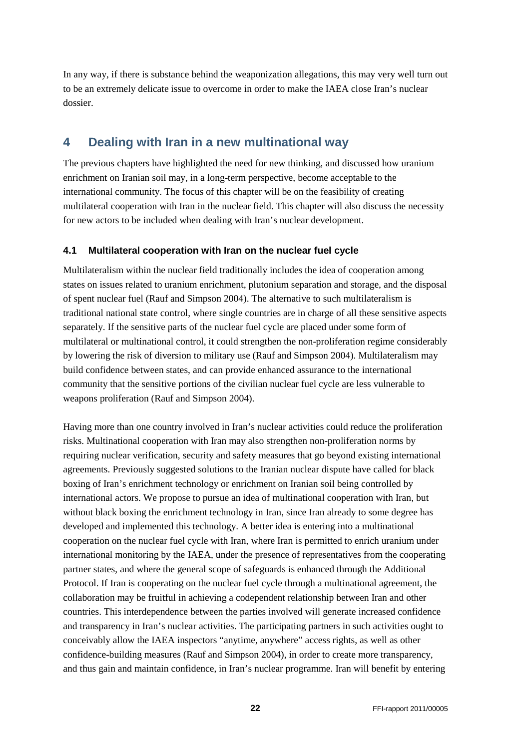In any way, if there is substance behind the weaponization allegations, this may very well turn out to be an extremely delicate issue to overcome in order to make the IAEA close Iran's nuclear dossier.

# <span id="page-21-0"></span>**4 Dealing with Iran in a new multinational way**

The previous chapters have highlighted the need for new thinking, and discussed how uranium enrichment on Iranian soil may, in a long-term perspective, become acceptable to the international community. The focus of this chapter will be on the feasibility of creating multilateral cooperation with Iran in the nuclear field. This chapter will also discuss the necessity for new actors to be included when dealing with Iran's nuclear development.

## <span id="page-21-1"></span>**4.1 Multilateral cooperation with Iran on the nuclear fuel cycle**

Multilateralism within the nuclear field traditionally includes the idea of cooperation among states on issues related to uranium enrichment, plutonium separation and storage, and the disposal of spent nuclear fuel (Rauf and Simpson 2004). The alternative to such multilateralism is traditional national state control, where single countries are in charge of all these sensitive aspects separately. If the sensitive parts of the nuclear fuel cycle are placed under some form of multilateral or multinational control, it could strengthen the non-proliferation regime considerably by lowering the risk of diversion to military use (Rauf and Simpson 2004). Multilateralism may build confidence between states, and can provide enhanced assurance to the international community that the sensitive portions of the civilian nuclear fuel cycle are less vulnerable to weapons proliferation (Rauf and Simpson 2004).

Having more than one country involved in Iran's nuclear activities could reduce the proliferation risks. Multinational cooperation with Iran may also strengthen non-proliferation norms by requiring nuclear verification, security and safety measures that go beyond existing international agreements. Previously suggested solutions to the Iranian nuclear dispute have called for black boxing of Iran's enrichment technology or enrichment on Iranian soil being controlled by international actors. We propose to pursue an idea of multinational cooperation with Iran, but without black boxing the enrichment technology in Iran, since Iran already to some degree has developed and implemented this technology. A better idea is entering into a multinational cooperation on the nuclear fuel cycle with Iran, where Iran is permitted to enrich uranium under international monitoring by the IAEA, under the presence of representatives from the cooperating partner states, and where the general scope of safeguards is enhanced through the Additional Protocol. If Iran is cooperating on the nuclear fuel cycle through a multinational agreement, the collaboration may be fruitful in achieving a codependent relationship between Iran and other countries. This interdependence between the parties involved will generate increased confidence and transparency in Iran's nuclear activities. The participating partners in such activities ought to conceivably allow the IAEA inspectors "anytime, anywhere" access rights, as well as other confidence-building measures (Rauf and Simpson 2004), in order to create more transparency, and thus gain and maintain confidence, in Iran's nuclear programme. Iran will benefit by entering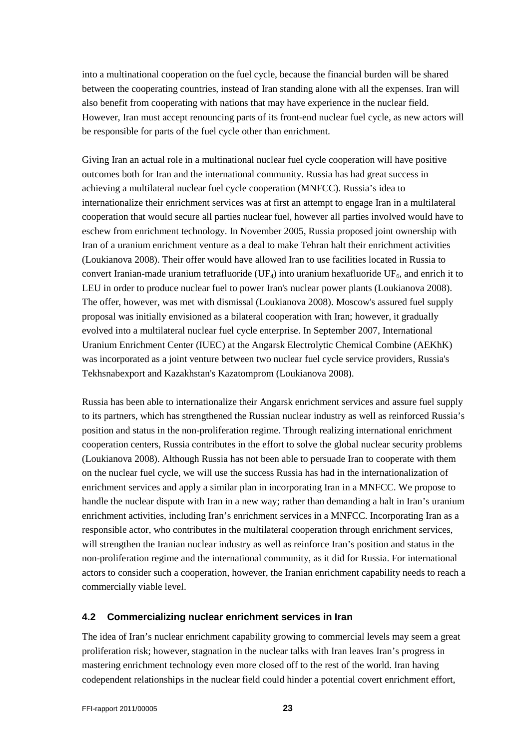into a multinational cooperation on the fuel cycle, because the financial burden will be shared between the cooperating countries, instead of Iran standing alone with all the expenses. Iran will also benefit from cooperating with nations that may have experience in the nuclear field. However, Iran must accept renouncing parts of its front-end nuclear fuel cycle, as new actors will be responsible for parts of the fuel cycle other than enrichment.

Giving Iran an actual role in a multinational nuclear fuel cycle cooperation will have positive outcomes both for Iran and the international community. Russia has had great success in achieving a multilateral nuclear fuel cycle cooperation (MNFCC). Russia's idea to internationalize their enrichment services was at first an attempt to engage Iran in a multilateral cooperation that would secure all parties nuclear fuel, however all parties involved would have to eschew from enrichment technology. In November 2005, Russia proposed joint ownership with Iran of a uranium enrichment venture as a deal to make Tehran halt their enrichment activities (Loukianova 2008). Their offer would have allowed Iran to use facilities located in Russia to convert Iranian-made uranium tetrafluoride (UF<sub>4</sub>) into uranium hexafluoride UF<sub>6</sub>, and enrich it to LEU in order to produce nuclear fuel to power Iran's nuclear power plants (Loukianova 2008). The offer, however, was met with dismissal (Loukianova 2008). Moscow's assured fuel supply proposal was initially envisioned as a bilateral cooperation with Iran; however, it gradually evolved into a multilateral nuclear fuel cycle enterprise. In September 2007, International Uranium Enrichment Center (IUEC) at the Angarsk Electrolytic Chemical Combine (AEKhK) was incorporated as a joint venture between two nuclear fuel cycle service providers, Russia's Tekhsnabexport and Kazakhstan's Kazatomprom (Loukianova 2008).

Russia has been able to internationalize their Angarsk enrichment services and assure fuel supply to its partners, which has strengthened the Russian nuclear industry as well as reinforced Russia's position and status in the non-proliferation regime. Through realizing international enrichment cooperation centers, Russia contributes in the effort to solve the global nuclear security problems (Loukianova 2008). Although Russia has not been able to persuade Iran to cooperate with them on the nuclear fuel cycle, we will use the success Russia has had in the internationalization of enrichment services and apply a similar plan in incorporating Iran in a MNFCC. We propose to handle the nuclear dispute with Iran in a new way; rather than demanding a halt in Iran's uranium enrichment activities, including Iran's enrichment services in a MNFCC. Incorporating Iran as a responsible actor, who contributes in the multilateral cooperation through enrichment services, will strengthen the Iranian nuclear industry as well as reinforce Iran's position and status in the non-proliferation regime and the international community, as it did for Russia. For international actors to consider such a cooperation, however, the Iranian enrichment capability needs to reach a commercially viable level.

## <span id="page-22-0"></span>**4.2 Commercializing nuclear enrichment services in Iran**

The idea of Iran's nuclear enrichment capability growing to commercial levels may seem a great proliferation risk; however, stagnation in the nuclear talks with Iran leaves Iran's progress in mastering enrichment technology even more closed off to the rest of the world. Iran having codependent relationships in the nuclear field could hinder a potential covert enrichment effort,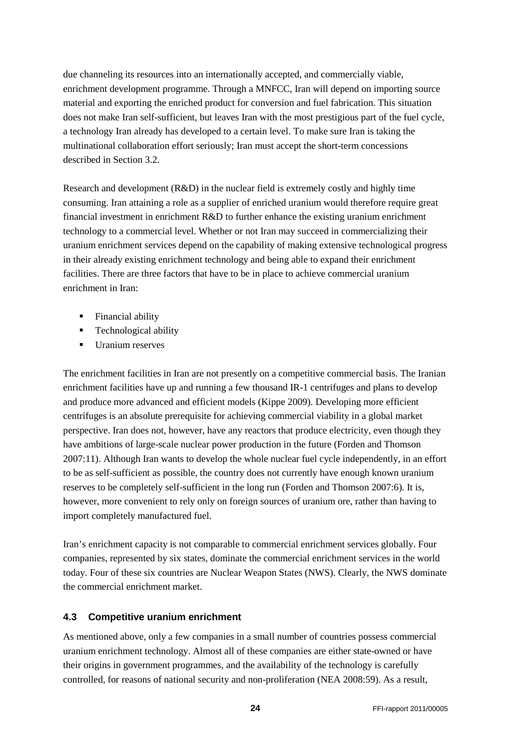due channeling its resources into an internationally accepted, and commercially viable, enrichment development programme. Through a MNFCC, Iran will depend on importing source material and exporting the enriched product for conversion and fuel fabrication. This situation does not make Iran self-sufficient, but leaves Iran with the most prestigious part of the fuel cycle, a technology Iran already has developed to a certain level. To make sure Iran is taking the multinational collaboration effort seriously; Iran must accept the short-term concessions described in Section 3.2.

Research and development (R&D) in the nuclear field is extremely costly and highly time consuming. Iran attaining a role as a supplier of enriched uranium would therefore require great financial investment in enrichment R&D to further enhance the existing uranium enrichment technology to a commercial level. Whether or not Iran may succeed in commercializing their uranium enrichment services depend on the capability of making extensive technological progress in their already existing enrichment technology and being able to expand their enrichment facilities. There are three factors that have to be in place to achieve commercial uranium enrichment in Iran:

- Financial ability
- **Technological ability**
- **Uranium reserves**

The enrichment facilities in Iran are not presently on a competitive commercial basis. The Iranian enrichment facilities have up and running a few thousand IR-1 centrifuges and plans to develop and produce more advanced and efficient models (Kippe 2009). Developing more efficient centrifuges is an absolute prerequisite for achieving commercial viability in a global market perspective. Iran does not, however, have any reactors that produce electricity, even though they have ambitions of large-scale nuclear power production in the future (Forden and Thomson 2007:11). Although Iran wants to develop the whole nuclear fuel cycle independently, in an effort to be as self-sufficient as possible, the country does not currently have enough known uranium reserves to be completely self-sufficient in the long run (Forden and Thomson 2007:6). It is, however, more convenient to rely only on foreign sources of uranium ore, rather than having to import completely manufactured fuel.

Iran's enrichment capacity is not comparable to commercial enrichment services globally. Four companies, represented by six states, dominate the commercial enrichment services in the world today. Four of these six countries are Nuclear Weapon States (NWS). Clearly, the NWS dominate the commercial enrichment market.

## <span id="page-23-0"></span>**4.3 Competitive uranium enrichment**

As mentioned above, only a few companies in a small number of countries possess commercial uranium enrichment technology. Almost all of these companies are either state-owned or have their origins in government programmes, and the availability of the technology is carefully controlled, for reasons of national security and non-proliferation (NEA 2008:59). As a result,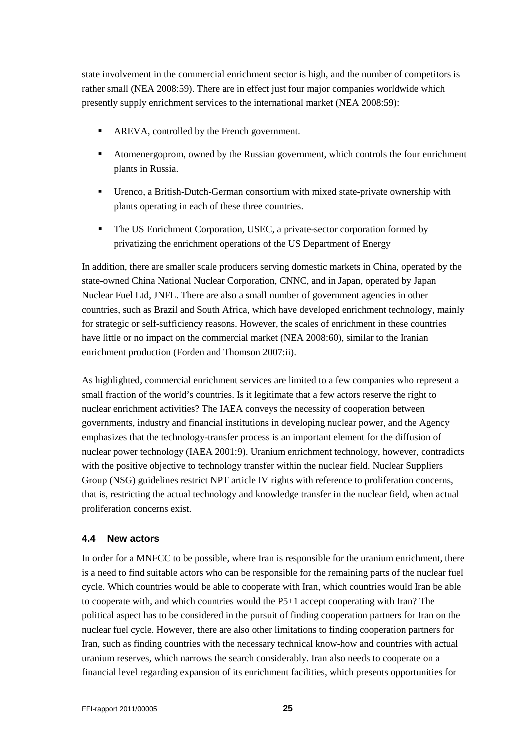state involvement in the commercial enrichment sector is high, and the number of competitors is rather small (NEA 2008:59). There are in effect just four major companies worldwide which presently supply enrichment services to the international market (NEA 2008:59):

- **AREVA, controlled by the French government.**
- Atomenergoprom, owned by the Russian government, which controls the four enrichment plants in Russia.
- Urenco, a British-Dutch-German consortium with mixed state-private ownership with plants operating in each of these three countries.
- The US Enrichment Corporation, USEC, a private-sector corporation formed by privatizing the enrichment operations of the US Department of Energy

In addition, there are smaller scale producers serving domestic markets in China, operated by the state-owned China National Nuclear Corporation, CNNC, and in Japan, operated by Japan Nuclear Fuel Ltd, JNFL. There are also a small number of government agencies in other countries, such as Brazil and South Africa, which have developed enrichment technology, mainly for strategic or self-sufficiency reasons. However, the scales of enrichment in these countries have little or no impact on the commercial market (NEA 2008:60), similar to the Iranian enrichment production (Forden and Thomson 2007:ii).

As highlighted, commercial enrichment services are limited to a few companies who represent a small fraction of the world's countries. Is it legitimate that a few actors reserve the right to nuclear enrichment activities? The IAEA conveys the necessity of cooperation between governments, industry and financial institutions in developing nuclear power, and the Agency emphasizes that the technology-transfer process is an important element for the diffusion of nuclear power technology (IAEA 2001:9). Uranium enrichment technology, however, contradicts with the positive objective to technology transfer within the nuclear field. Nuclear Suppliers Group (NSG) guidelines restrict NPT article IV rights with reference to proliferation concerns, that is, restricting the actual technology and knowledge transfer in the nuclear field, when actual proliferation concerns exist.

## <span id="page-24-0"></span>**4.4 New actors**

In order for a MNFCC to be possible, where Iran is responsible for the uranium enrichment, there is a need to find suitable actors who can be responsible for the remaining parts of the nuclear fuel cycle. Which countries would be able to cooperate with Iran, which countries would Iran be able to cooperate with, and which countries would the P5+1 accept cooperating with Iran? The political aspect has to be considered in the pursuit of finding cooperation partners for Iran on the nuclear fuel cycle. However, there are also other limitations to finding cooperation partners for Iran, such as finding countries with the necessary technical know-how and countries with actual uranium reserves, which narrows the search considerably. Iran also needs to cooperate on a financial level regarding expansion of its enrichment facilities, which presents opportunities for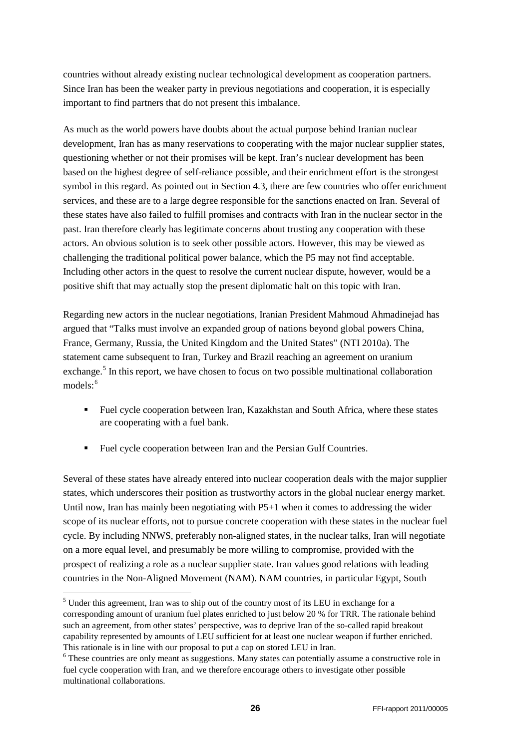countries without already existing nuclear technological development as cooperation partners. Since Iran has been the weaker party in previous negotiations and cooperation, it is especially important to find partners that do not present this imbalance.

As much as the world powers have doubts about the actual purpose behind Iranian nuclear development, Iran has as many reservations to cooperating with the major nuclear supplier states, questioning whether or not their promises will be kept. Iran's nuclear development has been based on the highest degree of self-reliance possible, and their enrichment effort is the strongest symbol in this regard. As pointed out in Section 4.3, there are few countries who offer enrichment services, and these are to a large degree responsible for the sanctions enacted on Iran. Several of these states have also failed to fulfill promises and contracts with Iran in the nuclear sector in the past. Iran therefore clearly has legitimate concerns about trusting any cooperation with these actors. An obvious solution is to seek other possible actors. However, this may be viewed as challenging the traditional political power balance, which the P5 may not find acceptable. Including other actors in the quest to resolve the current nuclear dispute, however, would be a positive shift that may actually stop the present diplomatic halt on this topic with Iran.

Regarding new actors in the nuclear negotiations, Iranian President Mahmoud Ahmadinejad has argued that "Talks must involve an expanded group of nations beyond global powers China, France, Germany, Russia, the United Kingdom and the United States" (NTI 2010a). The statement came subsequent to Iran, Turkey and Brazil reaching an agreement on uranium exchange.<sup>[5](#page-25-0)</sup> In this report, we have chosen to focus on two possible multinational collaboration models: [6](#page-25-1)

- Fuel cycle cooperation between Iran, Kazakhstan and South Africa, where these states are cooperating with a fuel bank.
- Fuel cycle cooperation between Iran and the Persian Gulf Countries.

Several of these states have already entered into nuclear cooperation deals with the major supplier states, which underscores their position as trustworthy actors in the global nuclear energy market. Until now, Iran has mainly been negotiating with P5+1 when it comes to addressing the wider scope of its nuclear efforts, not to pursue concrete cooperation with these states in the nuclear fuel cycle. By including NNWS, preferably non-aligned states, in the nuclear talks, Iran will negotiate on a more equal level, and presumably be more willing to compromise, provided with the prospect of realizing a role as a nuclear supplier state. Iran values good relations with leading countries in the Non-Aligned Movement (NAM). NAM countries, in particular Egypt, South

<span id="page-25-0"></span><sup>&</sup>lt;sup>5</sup> Under this agreement, Iran was to ship out of the country most of its LEU in exchange for a corresponding amount of uranium fuel plates enriched to just below 20 % for TRR. The rationale behind such an agreement, from other states' perspective, was to deprive Iran of the so-called rapid breakout capability represented by amounts of LEU sufficient for at least one nuclear weapon if further enriched. This rationale is in line with our proposal to put a cap on stored LEU in Iran.

<span id="page-25-1"></span><sup>&</sup>lt;sup>6</sup> These countries are only meant as suggestions. Many states can potentially assume a constructive role in fuel cycle cooperation with Iran, and we therefore encourage others to investigate other possible multinational collaborations.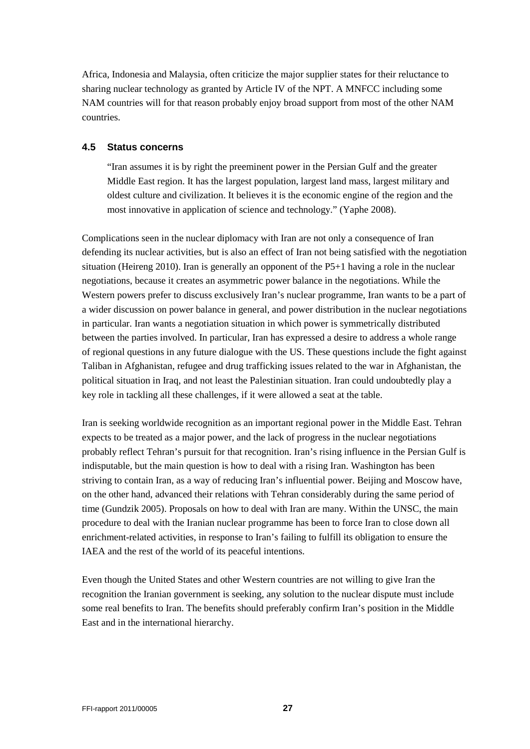Africa, Indonesia and Malaysia, often criticize the major supplier states for their reluctance to sharing nuclear technology as granted by Article IV of the NPT. A MNFCC including some NAM countries will for that reason probably enjoy broad support from most of the other NAM countries.

#### <span id="page-26-0"></span>**4.5 Status concerns**

"Iran assumes it is by right the preeminent power in the Persian Gulf and the greater Middle East region. It has the largest population, largest land mass, largest military and oldest culture and civilization. It believes it is the economic engine of the region and the most innovative in application of science and technology." (Yaphe 2008).

Complications seen in the nuclear diplomacy with Iran are not only a consequence of Iran defending its nuclear activities, but is also an effect of Iran not being satisfied with the negotiation situation (Heireng 2010). Iran is generally an opponent of the P5+1 having a role in the nuclear negotiations, because it creates an asymmetric power balance in the negotiations. While the Western powers prefer to discuss exclusively Iran's nuclear programme, Iran wants to be a part of a wider discussion on power balance in general, and power distribution in the nuclear negotiations in particular. Iran wants a negotiation situation in which power is symmetrically distributed between the parties involved. In particular, Iran has expressed a desire to address a whole range of regional questions in any future dialogue with the US. These questions include the fight against Taliban in Afghanistan, refugee and drug trafficking issues related to the war in Afghanistan, the political situation in Iraq, and not least the Palestinian situation. Iran could undoubtedly play a key role in tackling all these challenges, if it were allowed a seat at the table.

Iran is seeking worldwide recognition as an important regional power in the Middle East. Tehran expects to be treated as a major power, and the lack of progress in the nuclear negotiations probably reflect Tehran's pursuit for that recognition. Iran's rising influence in the Persian Gulf is indisputable, but the main question is how to deal with a rising Iran. Washington has been striving to contain Iran, as a way of reducing Iran's influential power. Beijing and Moscow have, on the other hand, advanced their relations with Tehran considerably during the same period of time (Gundzik 2005). Proposals on how to deal with Iran are many. Within the UNSC, the main procedure to deal with the Iranian nuclear programme has been to force Iran to close down all enrichment-related activities, in response to Iran's failing to fulfill its obligation to ensure the IAEA and the rest of the world of its peaceful intentions.

Even though the United States and other Western countries are not willing to give Iran the recognition the Iranian government is seeking, any solution to the nuclear dispute must include some real benefits to Iran. The benefits should preferably confirm Iran's position in the Middle East and in the international hierarchy.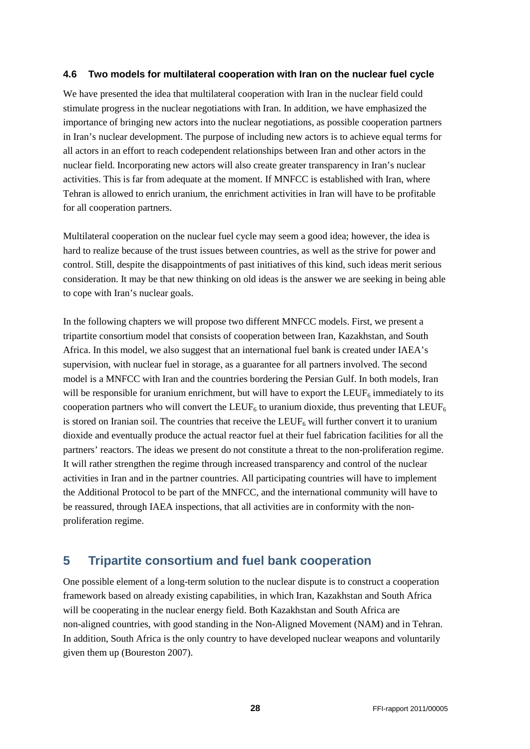#### <span id="page-27-0"></span>**4.6 Two models for multilateral cooperation with Iran on the nuclear fuel cycle**

We have presented the idea that multilateral cooperation with Iran in the nuclear field could stimulate progress in the nuclear negotiations with Iran. In addition, we have emphasized the importance of bringing new actors into the nuclear negotiations, as possible cooperation partners in Iran's nuclear development. The purpose of including new actors is to achieve equal terms for all actors in an effort to reach codependent relationships between Iran and other actors in the nuclear field. Incorporating new actors will also create greater transparency in Iran's nuclear activities. This is far from adequate at the moment. If MNFCC is established with Iran, where Tehran is allowed to enrich uranium, the enrichment activities in Iran will have to be profitable for all cooperation partners.

Multilateral cooperation on the nuclear fuel cycle may seem a good idea; however, the idea is hard to realize because of the trust issues between countries, as well as the strive for power and control. Still, despite the disappointments of past initiatives of this kind, such ideas merit serious consideration. It may be that new thinking on old ideas is the answer we are seeking in being able to cope with Iran's nuclear goals.

In the following chapters we will propose two different MNFCC models. First, we present a tripartite consortium model that consists of cooperation between Iran, Kazakhstan, and South Africa. In this model, we also suggest that an international fuel bank is created under IAEA's supervision, with nuclear fuel in storage, as a guarantee for all partners involved. The second model is a MNFCC with Iran and the countries bordering the Persian Gulf. In both models, Iran will be responsible for uranium enrichment, but will have to export the  $LEUF_6$  immediately to its cooperation partners who will convert the LEUF<sub>6</sub> to uranium dioxide, thus preventing that LEUF<sub>6</sub> is stored on Iranian soil. The countries that receive the LEUF<sub>6</sub> will further convert it to uranium dioxide and eventually produce the actual reactor fuel at their fuel fabrication facilities for all the partners' reactors. The ideas we present do not constitute a threat to the non-proliferation regime. It will rather strengthen the regime through increased transparency and control of the nuclear activities in Iran and in the partner countries. All participating countries will have to implement the Additional Protocol to be part of the MNFCC, and the international community will have to be reassured, through IAEA inspections, that all activities are in conformity with the nonproliferation regime.

# <span id="page-27-1"></span>**5 Tripartite consortium and fuel bank cooperation**

One possible element of a long-term solution to the nuclear dispute is to construct a cooperation framework based on already existing capabilities, in which Iran, Kazakhstan and South Africa will be cooperating in the nuclear energy field. Both Kazakhstan and South Africa are non-aligned countries, with good standing in the Non-Aligned Movement (NAM) and in Tehran. In addition, South Africa is the only country to have developed nuclear weapons and voluntarily given them up (Boureston 2007).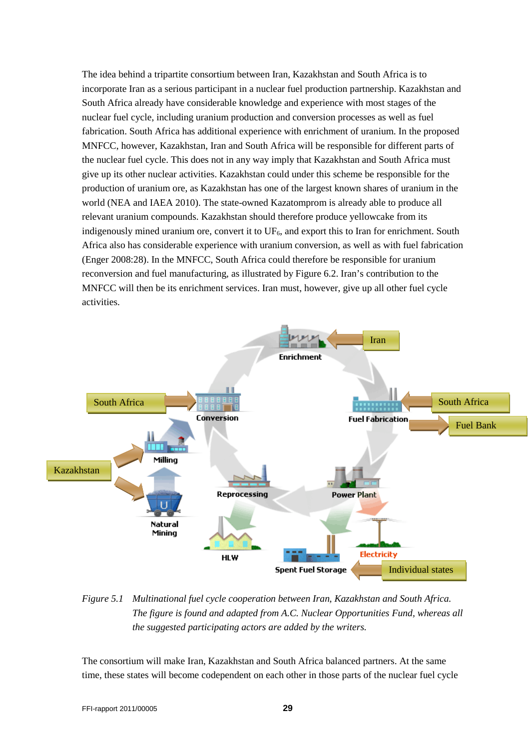The idea behind a tripartite consortium between Iran, Kazakhstan and South Africa is to incorporate Iran as a serious participant in a nuclear fuel production partnership. Kazakhstan and South Africa already have considerable knowledge and experience with most stages of the nuclear fuel cycle, including uranium production and conversion processes as well as fuel fabrication. South Africa has additional experience with enrichment of uranium. In the proposed MNFCC, however, Kazakhstan, Iran and South Africa will be responsible for different parts of the nuclear fuel cycle. This does not in any way imply that Kazakhstan and South Africa must give up its other nuclear activities. Kazakhstan could under this scheme be responsible for the production of uranium ore, as Kazakhstan has one of the largest known shares of uranium in the world (NEA and IAEA 2010). The state-owned Kazatomprom is already able to produce all relevant uranium compounds. Kazakhstan should therefore produce yellowcake from its indigenously mined uranium ore, convert it to  $UF<sub>6</sub>$ , and export this to Iran for enrichment. South Africa also has considerable experience with uranium conversion, as well as with fuel fabrication (Enger 2008:28). In the MNFCC, South Africa could therefore be responsible for uranium reconversion and fuel manufacturing, as illustrated by Figure 6.2. Iran's contribution to the MNFCC will then be its enrichment services. Iran must, however, give up all other fuel cycle activities.



*Figure 5.1 Multinational fuel cycle cooperation between Iran, Kazakhstan and South Africa. The figure is found and adapted from A.C. Nuclear Opportunities Fund, whereas all the suggested participating actors are added by the writers.*

The consortium will make Iran, Kazakhstan and South Africa balanced partners. At the same time, these states will become codependent on each other in those parts of the nuclear fuel cycle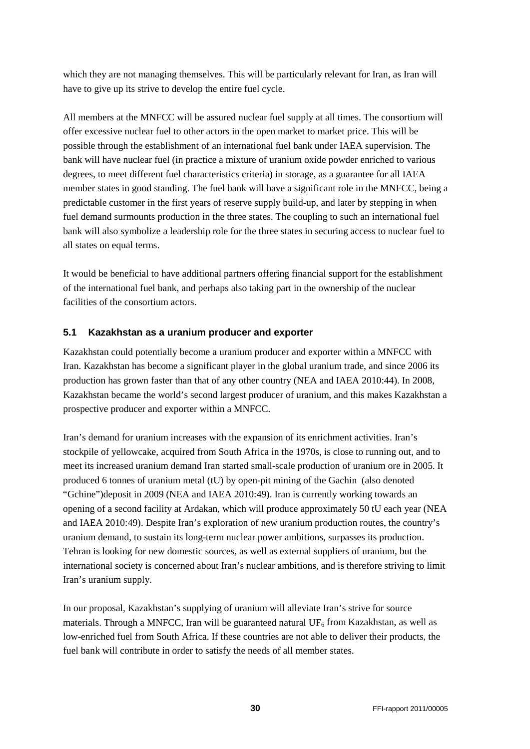which they are not managing themselves. This will be particularly relevant for Iran, as Iran will have to give up its strive to develop the entire fuel cycle.

All members at the MNFCC will be assured nuclear fuel supply at all times. The consortium will offer excessive nuclear fuel to other actors in the open market to market price. This will be possible through the establishment of an international fuel bank under IAEA supervision. The bank will have nuclear fuel (in practice a mixture of uranium oxide powder enriched to various degrees, to meet different fuel characteristics criteria) in storage, as a guarantee for all IAEA member states in good standing. The fuel bank will have a significant role in the MNFCC, being a predictable customer in the first years of reserve supply build-up, and later by stepping in when fuel demand surmounts production in the three states. The coupling to such an international fuel bank will also symbolize a leadership role for the three states in securing access to nuclear fuel to all states on equal terms.

It would be beneficial to have additional partners offering financial support for the establishment of the international fuel bank, and perhaps also taking part in the ownership of the nuclear facilities of the consortium actors.

## <span id="page-29-0"></span>**5.1 Kazakhstan as a uranium producer and exporter**

Kazakhstan could potentially become a uranium producer and exporter within a MNFCC with Iran. Kazakhstan has become a significant player in the global uranium trade, and since 2006 its production has grown faster than that of any other country (NEA and IAEA 2010:44). In 2008, Kazakhstan became the world's second largest producer of uranium, and this makes Kazakhstan a prospective producer and exporter within a MNFCC.

Iran's demand for uranium increases with the expansion of its enrichment activities. Iran's stockpile of yellowcake, acquired from South Africa in the 1970s, is close to running out, and to meet its increased uranium demand Iran started small-scale production of uranium ore in 2005. It produced 6 tonnes of uranium metal (tU) by open-pit mining of the Gachin (also denoted "Gchine")deposit in 2009 (NEA and IAEA 2010:49). Iran is currently working towards an opening of a second facility at Ardakan, which will produce approximately 50 tU each year (NEA and IAEA 2010:49). Despite Iran's exploration of new uranium production routes, the country's uranium demand, to sustain its long-term nuclear power ambitions, surpasses its production. Tehran is looking for new domestic sources, as well as external suppliers of uranium, but the international society is concerned about Iran's nuclear ambitions, and is therefore striving to limit Iran's uranium supply.

In our proposal, Kazakhstan's supplying of uranium will alleviate Iran's strive for source materials. Through a MNFCC, Iran will be guaranteed natural  $UF_6$  from Kazakhstan, as well as low-enriched fuel from South Africa. If these countries are not able to deliver their products, the fuel bank will contribute in order to satisfy the needs of all member states.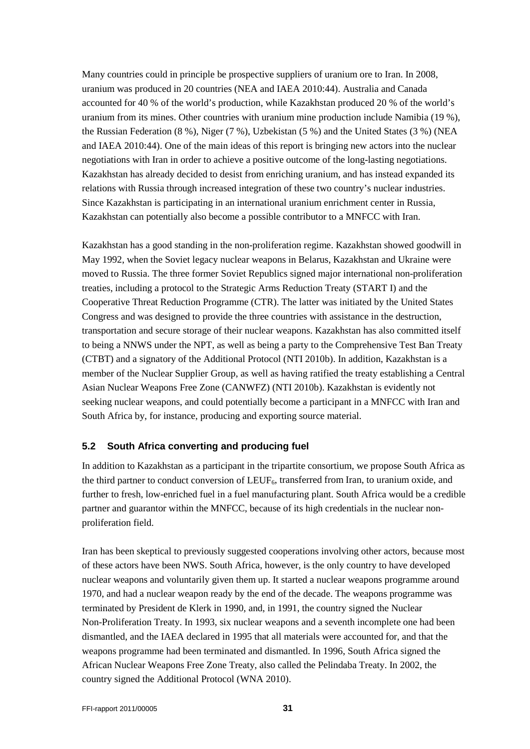Many countries could in principle be prospective suppliers of uranium ore to Iran. In 2008, uranium was produced in 20 countries (NEA and IAEA 2010:44). Australia and Canada accounted for 40 % of the world's production, while Kazakhstan produced 20 % of the world's uranium from its mines. Other countries with uranium mine production include Namibia (19 %), the Russian Federation (8 %), Niger (7 %), Uzbekistan (5 %) and the United States (3 %) (NEA and IAEA 2010:44). One of the main ideas of this report is bringing new actors into the nuclear negotiations with Iran in order to achieve a positive outcome of the long-lasting negotiations. Kazakhstan has already decided to desist from enriching uranium, and has instead expanded its relations with Russia through increased integration of these two country's nuclear industries. Since Kazakhstan is participating in an international uranium enrichment center in Russia, Kazakhstan can potentially also become a possible contributor to a MNFCC with Iran.

Kazakhstan has a good standing in the non-proliferation regime. Kazakhstan showed goodwill in May 1992, when the Soviet legacy nuclear weapons in Belarus, Kazakhstan and Ukraine were moved to Russia. The three former Soviet Republics signed major international non-proliferation treaties, including a protocol to the Strategic Arms Reduction Treaty (START I) and the Cooperative Threat Reduction Programme (CTR). The latter was initiated by the United States Congress and was designed to provide the three countries with assistance in the destruction, transportation and secure storage of their nuclear weapons. Kazakhstan has also committed itself to being a NNWS under the NPT, as well as being a party to the Comprehensive Test Ban Treaty (CTBT) and a signatory of the Additional Protocol (NTI 2010b). In addition, Kazakhstan is a member of the Nuclear Supplier Group, as well as having ratified the treaty establishing a Central Asian Nuclear Weapons Free Zone (CANWFZ) (NTI 2010b). Kazakhstan is evidently not seeking nuclear weapons, and could potentially become a participant in a MNFCC with Iran and South Africa by, for instance, producing and exporting source material.

## <span id="page-30-0"></span>**5.2 South Africa converting and producing fuel**

In addition to Kazakhstan as a participant in the tripartite consortium, we propose South Africa as the third partner to conduct conversion of  $LEUF_6$ , transferred from Iran, to uranium oxide, and further to fresh, low-enriched fuel in a fuel manufacturing plant. South Africa would be a credible partner and guarantor within the MNFCC, because of its high credentials in the nuclear nonproliferation field.

Iran has been skeptical to previously suggested cooperations involving other actors, because most of these actors have been NWS. South Africa, however, is the only country to have developed nuclear weapons and voluntarily given them up. It started a nuclear weapons programme around 1970, and had a nuclear weapon ready by the end of the decade. The weapons programme was terminated by President de Klerk in 1990, and, in 1991, the country signed the Nuclear Non-Proliferation Treaty. In 1993, six nuclear weapons and a seventh incomplete one had been dismantled, and the IAEA declared in 1995 that all materials were accounted for, and that the weapons programme had been terminated and dismantled. In 1996, South Africa signed the African Nuclear Weapons Free Zone Treaty, also called the Pelindaba Treaty. In 2002, the country signed the Additional Protocol (WNA 2010).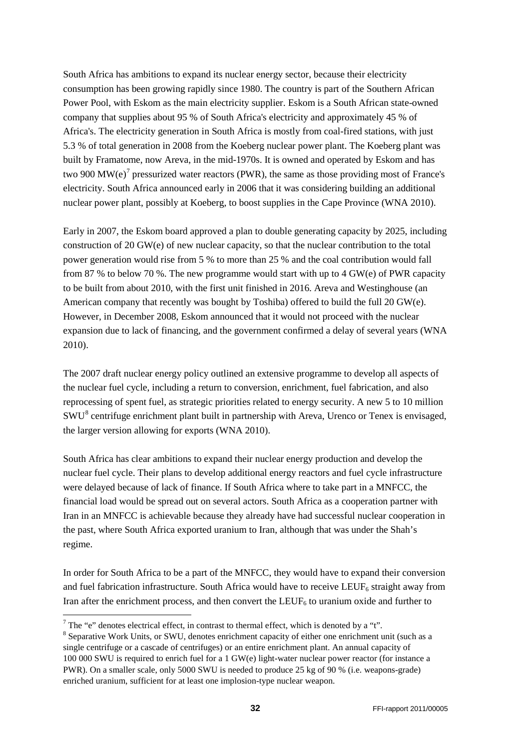South Africa has ambitions to expand its nuclear energy sector, because their electricity consumption has been growing rapidly since 1980. The country is part of the Southern African Power Pool, with Eskom as the main electricity supplier. Eskom is a South African state-owned company that supplies about 95 % of South Africa's electricity and approximately 45 % of Africa's. The electricity generation in South Africa is mostly from coal-fired stations, with just 5.3 % of total generation in 2008 from the Koeberg nuclear power plant. The Koeberg plant was built by Framatome, now Areva, in the mid-1970s. It is owned and operated by Eskom and has two 900  $MW(e)^7$  $MW(e)^7$  pressurized water reactors (PWR), the same as those providing most of France's electricity. South Africa announced early in 2006 that it was considering building an additional nuclear power plant, possibly at Koeberg, to boost supplies in the Cape Province (WNA 2010).

Early in 2007, the Eskom board approved a plan to double generating capacity by 2025, including construction of 20 GW(e) of new nuclear capacity, so that the nuclear contribution to the total power generation would rise from 5 % to more than 25 % and the coal contribution would fall from 87 % to below 70 %. The new programme would start with up to 4 GW(e) of PWR capacity to be built from about 2010, with the first unit finished in 2016. Areva and Westinghouse (an American company that recently was bought by Toshiba) offered to build the full 20 GW(e). However, in December 2008, Eskom announced that it would not proceed with the nuclear expansion due to lack of financing, and the government confirmed a delay of several years (WNA 2010).

The 2007 draft nuclear energy policy outlined an extensive programme to develop all aspects of the nuclear fuel cycle, including a return to conversion, enrichment, fuel fabrication, and also reprocessing of spent fuel, as strategic priorities related to energy security. A new 5 to 10 million SWU[8](#page-31-1) centrifuge enrichment plant built in partnership with Areva, Urenco or Tenex is envisaged, the larger version allowing for exports (WNA 2010).

South Africa has clear ambitions to expand their nuclear energy production and develop the nuclear fuel cycle. Their plans to develop additional energy reactors and fuel cycle infrastructure were delayed because of lack of finance. If South Africa where to take part in a MNFCC, the financial load would be spread out on several actors. South Africa as a cooperation partner with Iran in an MNFCC is achievable because they already have had successful nuclear cooperation in the past, where South Africa exported uranium to Iran, although that was under the Shah's regime.

In order for South Africa to be a part of the MNFCC, they would have to expand their conversion and fuel fabrication infrastructure. South Africa would have to receive LEUF<sub>6</sub> straight away from Iran after the enrichment process, and then convert the LEUF<sub>6</sub> to uranium oxide and further to

<span id="page-31-0"></span> $\frac{7}{7}$  The "e" denotes electrical effect, in contrast to thermal effect, which is denoted by a "t".

<span id="page-31-1"></span><sup>&</sup>lt;sup>8</sup> Separative Work Units, or SWU, denotes enrichment capacity of either one enrichment unit (such as a single centrifuge or a cascade of centrifuges) or an entire enrichment plant. An annual capacity of 100 000 SWU is required to enrich fuel for a 1 GW(e) light-water nuclear power reactor (for instance a PWR). On a smaller scale, only 5000 SWU is needed to produce 25 kg of 90 % (i.e. weapons-grade) enriched uranium, sufficient for at least one implosion-type nuclear weapon.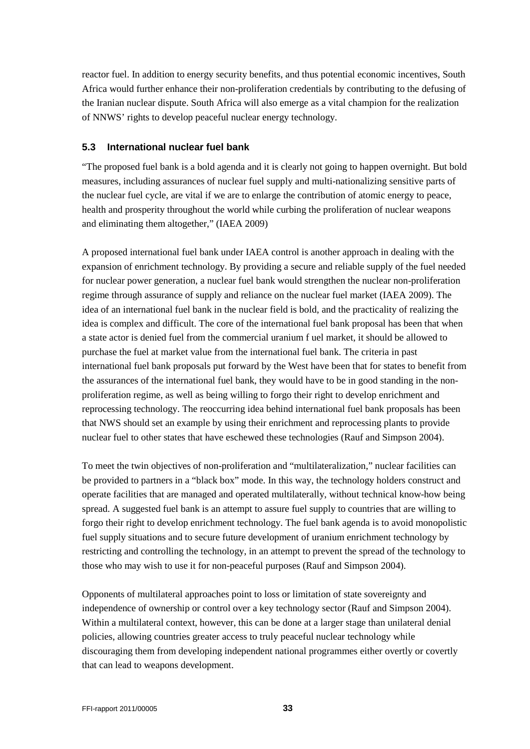reactor fuel. In addition to energy security benefits, and thus potential economic incentives, South Africa would further enhance their non-proliferation credentials by contributing to the defusing of the Iranian nuclear dispute. South Africa will also emerge as a vital champion for the realization of NNWS' rights to develop peaceful nuclear energy technology.

### <span id="page-32-0"></span>**5.3 International nuclear fuel bank**

"The proposed fuel bank is a bold agenda and it is clearly not going to happen overnight. But bold measures, including assurances of nuclear fuel supply and multi-nationalizing sensitive parts of the nuclear fuel cycle, are vital if we are to enlarge the contribution of atomic energy to peace, health and prosperity throughout the world while curbing the proliferation of nuclear weapons and eliminating them altogether," (IAEA 2009)

A proposed international fuel bank under IAEA control is another approach in dealing with the expansion of enrichment technology. By providing a secure and reliable supply of the fuel needed for nuclear power generation, a nuclear fuel bank would strengthen the nuclear non-proliferation regime through assurance of supply and reliance on the nuclear fuel market (IAEA 2009). The idea of an international fuel bank in the nuclear field is bold, and the practicality of realizing the idea is complex and difficult. The core of the international fuel bank proposal has been that when a state actor is denied fuel from the commercial uranium f uel market, it should be allowed to purchase the fuel at market value from the international fuel bank. The criteria in past international fuel bank proposals put forward by the West have been that for states to benefit from the assurances of the international fuel bank, they would have to be in good standing in the nonproliferation regime, as well as being willing to forgo their right to develop enrichment and reprocessing technology. The reoccurring idea behind international fuel bank proposals has been that NWS should set an example by using their enrichment and reprocessing plants to provide nuclear fuel to other states that have eschewed these technologies (Rauf and Simpson 2004).

To meet the twin objectives of non-proliferation and "multilateralization," nuclear facilities can be provided to partners in a "black box" mode. In this way, the technology holders construct and operate facilities that are managed and operated multilaterally, without technical know-how being spread. A suggested fuel bank is an attempt to assure fuel supply to countries that are willing to forgo their right to develop enrichment technology. The fuel bank agenda is to avoid monopolistic fuel supply situations and to secure future development of uranium enrichment technology by restricting and controlling the technology, in an attempt to prevent the spread of the technology to those who may wish to use it for non-peaceful purposes (Rauf and Simpson 2004).

Opponents of multilateral approaches point to loss or limitation of state sovereignty and independence of ownership or control over a key technology sector (Rauf and Simpson 2004). Within a multilateral context, however, this can be done at a larger stage than unilateral denial policies, allowing countries greater access to truly peaceful nuclear technology while discouraging them from developing independent national programmes either overtly or covertly that can lead to weapons development.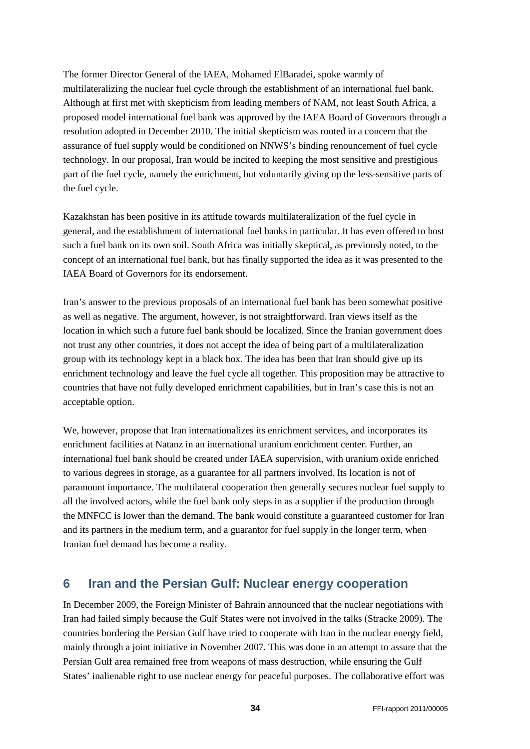The former Director General of the IAEA, Mohamed ElBaradei, spoke warmly of multilateralizing the nuclear fuel cycle through the establishment of an international fuel bank. Although at first met with skepticism from leading members of NAM, not least South Africa, a proposed model international fuel bank was approved by the IAEA Board of Governors through a resolution adopted in December 2010. The initial skepticism was rooted in a concern that the assurance of fuel supply would be conditioned on NNWS's binding renouncement of fuel cycle technology. In our proposal, Iran would be incited to keeping the most sensitive and prestigious part of the fuel cycle, namely the enrichment, but voluntarily giving up the less-sensitive parts of the fuel cycle.

Kazakhstan has been positive in its attitude towards multilateralization of the fuel cycle in general, and the establishment of international fuel banks in particular. It has even offered to host such a fuel bank on its own soil. South Africa was initially skeptical, as previously noted, to the concept of an international fuel bank, but has finally supported the idea as it was presented to the IAEA Board of Governors for its endorsement.

Iran's answer to the previous proposals of an international fuel bank has been somewhat positive as well as negative. The argument, however, is not straightforward. Iran views itself as the location in which such a future fuel bank should be localized. Since the Iranian government does not trust any other countries, it does not accept the idea of being part of a multilateralization group with its technology kept in a black box. The idea has been that Iran should give up its enrichment technology and leave the fuel cycle all together. This proposition may be attractive to countries that have not fully developed enrichment capabilities, but in Iran's case this is not an acceptable option.

We, however, propose that Iran internationalizes its enrichment services, and incorporates its enrichment facilities at Natanz in an international uranium enrichment center. Further, an international fuel bank should be created under IAEA supervision, with uranium oxide enriched to various degrees in storage, as a guarantee for all partners involved. Its location is not of paramount importance. The multilateral cooperation then generally secures nuclear fuel supply to all the involved actors, while the fuel bank only steps in as a supplier if the production through the MNFCC is lower than the demand. The bank would constitute a guaranteed customer for Iran and its partners in the medium term, and a guarantor for fuel supply in the longer term, when Iranian fuel demand has become a reality.

# <span id="page-33-0"></span>**6 Iran and the Persian Gulf: Nuclear energy cooperation**

In December 2009, the Foreign Minister of Bahrain announced that the nuclear negotiations with Iran had failed simply because the Gulf States were not involved in the talks (Stracke 2009). The countries bordering the Persian Gulf have tried to cooperate with Iran in the nuclear energy field, mainly through a joint initiative in November 2007. This was done in an attempt to assure that the Persian Gulf area remained free from weapons of mass destruction, while ensuring the Gulf States' inalienable right to use nuclear energy for peaceful purposes. The collaborative effort was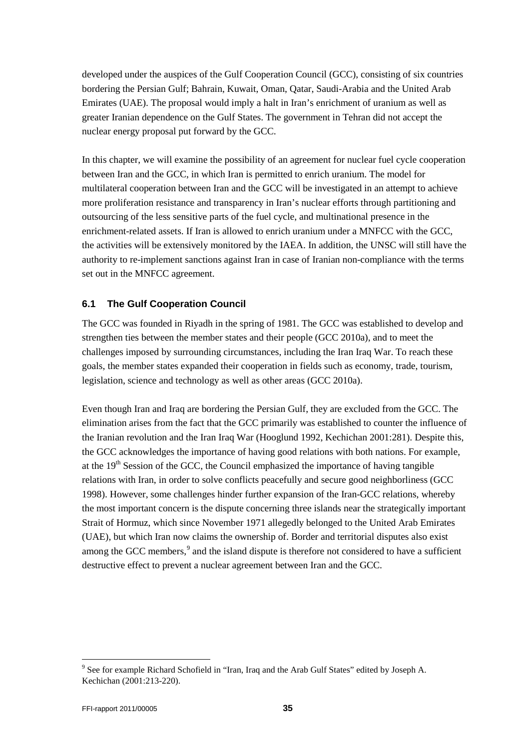developed under the auspices of the Gulf Cooperation Council (GCC), consisting of six countries bordering the Persian Gulf; Bahrain, Kuwait, Oman, Qatar, Saudi-Arabia and the United Arab Emirates (UAE). The proposal would imply a halt in Iran's enrichment of uranium as well as greater Iranian dependence on the Gulf States. The government in Tehran did not accept the nuclear energy proposal put forward by the GCC.

In this chapter, we will examine the possibility of an agreement for nuclear fuel cycle cooperation between Iran and the GCC, in which Iran is permitted to enrich uranium. The model for multilateral cooperation between Iran and the GCC will be investigated in an attempt to achieve more proliferation resistance and transparency in Iran's nuclear efforts through partitioning and outsourcing of the less sensitive parts of the fuel cycle, and multinational presence in the enrichment-related assets. If Iran is allowed to enrich uranium under a MNFCC with the GCC, the activities will be extensively monitored by the IAEA. In addition, the UNSC will still have the authority to re-implement sanctions against Iran in case of Iranian non-compliance with the terms set out in the MNFCC agreement.

# <span id="page-34-0"></span>**6.1 The Gulf Cooperation Council**

The GCC was founded in Riyadh in the spring of 1981. The GCC was established to develop and strengthen ties between the member states and their people (GCC 2010a), and to meet the challenges imposed by surrounding circumstances, including the Iran Iraq War. To reach these goals, the member states expanded their cooperation in fields such as economy, trade, tourism, legislation, science and technology as well as other areas (GCC 2010a).

Even though Iran and Iraq are bordering the Persian Gulf, they are excluded from the GCC. The elimination arises from the fact that the GCC primarily was established to counter the influence of the Iranian revolution and the Iran Iraq War (Hooglund 1992, Kechichan 2001:281). Despite this, the GCC acknowledges the importance of having good relations with both nations. For example, at the 19<sup>th</sup> Session of the GCC, the Council emphasized the importance of having tangible relations with Iran, in order to solve conflicts peacefully and secure good neighborliness (GCC 1998). However, some challenges hinder further expansion of the Iran-GCC relations, whereby the most important concern is the dispute concerning three islands near the strategically important Strait of Hormuz, which since November 1971 allegedly belonged to the United Arab Emirates (UAE), but which Iran now claims the ownership of. Border and territorial disputes also exist among the GCC members,<sup>[9](#page-34-1)</sup> and the island dispute is therefore not considered to have a sufficient destructive effect to prevent a nuclear agreement between Iran and the GCC.

<span id="page-34-1"></span><sup>&</sup>lt;sup>9</sup> See for example Richard Schofield in "Iran, Iraq and the Arab Gulf States" edited by Joseph A. Kechichan (2001:213-220).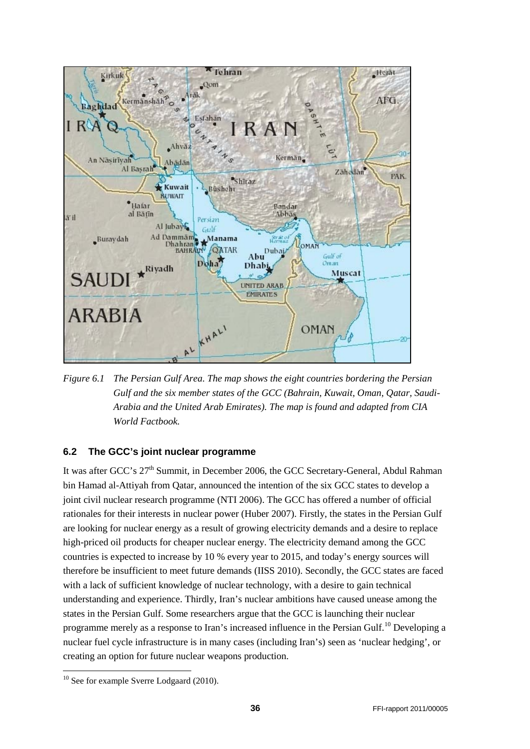

*Figure 6.1 The Persian Gulf Area. The map shows the eight countries bordering the Persian Gulf and the six member states of the GCC (Bahrain, Kuwait, Oman, Qatar, Saudi-Arabia and the United Arab Emirates). The map is found and adapted from CIA World Factbook.*

## <span id="page-35-0"></span>**6.2 The GCC's joint nuclear programme**

It was after GCC's 27<sup>th</sup> Summit, in December 2006, the GCC Secretary-General, Abdul Rahman bin Hamad al-Attiyah from Qatar, announced the intention of the six GCC states to develop a joint civil nuclear research programme (NTI 2006). The GCC has offered a number of official rationales for their interests in nuclear power (Huber 2007). Firstly, the states in the Persian Gulf are looking for nuclear energy as a result of growing electricity demands and a desire to replace high-priced oil products for cheaper nuclear energy. The electricity demand among the GCC countries is expected to increase by 10 % every year to 2015, and today's energy sources will therefore be insufficient to meet future demands (IISS 2010). Secondly, the GCC states are faced with a lack of sufficient knowledge of nuclear technology, with a desire to gain technical understanding and experience. Thirdly, Iran's nuclear ambitions have caused unease among the states in the Persian Gulf. Some researchers argue that the GCC is launching their nuclear programme merely as a response to Iran's increased influence in the Persian Gulf.<sup>[10](#page-35-1)</sup> Developing a nuclear fuel cycle infrastructure is in many cases (including Iran's) seen as 'nuclear hedging', or creating an option for future nuclear weapons production.

<span id="page-35-1"></span><sup>&</sup>lt;sup>10</sup> See for example Sverre Lodgaard (2010).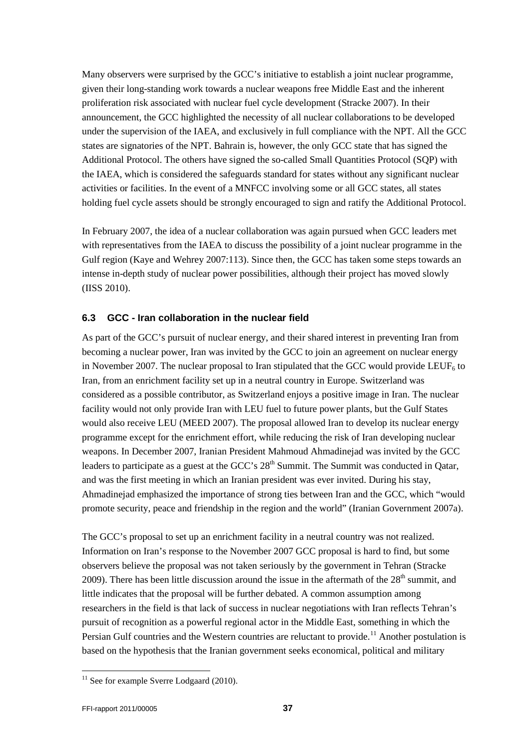Many observers were surprised by the GCC's initiative to establish a joint nuclear programme, given their long-standing work towards a nuclear weapons free Middle East and the inherent proliferation risk associated with nuclear fuel cycle development (Stracke 2007). In their announcement, the GCC highlighted the necessity of all nuclear collaborations to be developed under the supervision of the IAEA, and exclusively in full compliance with the NPT. All the GCC states are signatories of the NPT. Bahrain is, however, the only GCC state that has signed the Additional Protocol. The others have signed the so-called Small Quantities Protocol (SQP) with the IAEA, which is considered the safeguards standard for states without any significant nuclear activities or facilities. In the event of a MNFCC involving some or all GCC states, all states holding fuel cycle assets should be strongly encouraged to sign and ratify the Additional Protocol.

In February 2007, the idea of a nuclear collaboration was again pursued when GCC leaders met with representatives from the IAEA to discuss the possibility of a joint nuclear programme in the Gulf region (Kaye and Wehrey 2007:113). Since then, the GCC has taken some steps towards an intense in-depth study of nuclear power possibilities, although their project has moved slowly (IISS 2010).

# <span id="page-36-0"></span>**6.3 GCC - Iran collaboration in the nuclear field**

As part of the GCC's pursuit of nuclear energy, and their shared interest in preventing Iran from becoming a nuclear power, Iran was invited by the GCC to join an agreement on nuclear energy in November 2007. The nuclear proposal to Iran stipulated that the GCC would provide LEUF<sub>6</sub> to Iran, from an enrichment facility set up in a neutral country in Europe. Switzerland was considered as a possible contributor, as Switzerland enjoys a positive image in Iran. The nuclear facility would not only provide Iran with LEU fuel to future power plants, but the Gulf States would also receive LEU (MEED 2007). The proposal allowed Iran to develop its nuclear energy programme except for the enrichment effort, while reducing the risk of Iran developing nuclear weapons. In December 2007, Iranian President Mahmoud Ahmadinejad was invited by the GCC leaders to participate as a guest at the GCC's  $28<sup>th</sup>$  Summit. The Summit was conducted in Qatar, and was the first meeting in which an Iranian president was ever invited. During his stay, Ahmadinejad emphasized the importance of strong ties between Iran and the GCC, which "would promote security, peace and friendship in the region and the world" (Iranian Government 2007a).

The GCC's proposal to set up an enrichment facility in a neutral country was not realized. Information on Iran's response to the November 2007 GCC proposal is hard to find, but some observers believe the proposal was not taken seriously by the government in Tehran (Stracke 2009). There has been little discussion around the issue in the aftermath of the  $28<sup>th</sup>$  summit, and little indicates that the proposal will be further debated. A common assumption among researchers in the field is that lack of success in nuclear negotiations with Iran reflects Tehran's pursuit of recognition as a powerful regional actor in the Middle East, something in which the Persian Gulf countries and the Western countries are reluctant to provide.<sup>[11](#page-36-1)</sup> Another postulation is based on the hypothesis that the Iranian government seeks economical, political and military

<span id="page-36-1"></span> $11$  See for example Sverre Lodgaard (2010).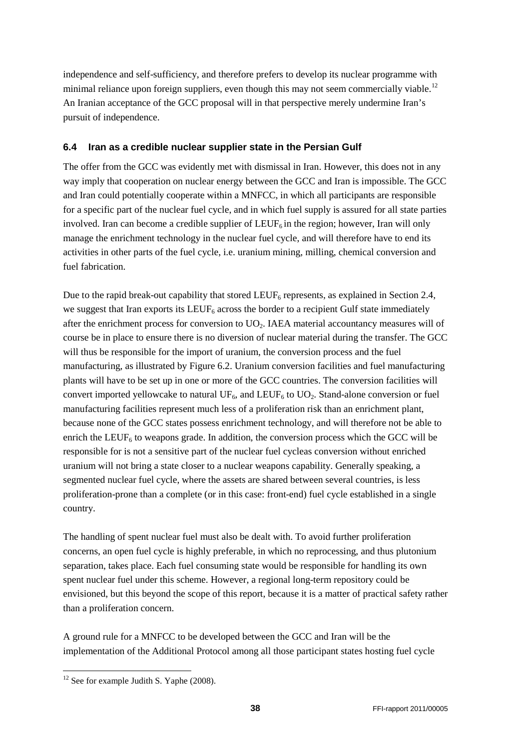independence and self-sufficiency, and therefore prefers to develop its nuclear programme with minimal reliance upon foreign suppliers, even though this may not seem commercially viable.<sup>[12](#page-37-1)</sup> An Iranian acceptance of the GCC proposal will in that perspective merely undermine Iran's pursuit of independence.

# <span id="page-37-0"></span>**6.4 Iran as a credible nuclear supplier state in the Persian Gulf**

The offer from the GCC was evidently met with dismissal in Iran. However, this does not in any way imply that cooperation on nuclear energy between the GCC and Iran is impossible. The GCC and Iran could potentially cooperate within a MNFCC, in which all participants are responsible for a specific part of the nuclear fuel cycle, and in which fuel supply is assured for all state parties involved. Iran can become a credible supplier of  $LEUF_6$  in the region; however, Iran will only manage the enrichment technology in the nuclear fuel cycle, and will therefore have to end its activities in other parts of the fuel cycle, i.e. uranium mining, milling, chemical conversion and fuel fabrication.

Due to the rapid break-out capability that stored  $LEUF_6$  represents, as explained in Section 2.4, we suggest that Iran exports its  $LEUF_6$  across the border to a recipient Gulf state immediately after the enrichment process for conversion to  $UO<sub>2</sub>$ . IAEA material accountancy measures will of course be in place to ensure there is no diversion of nuclear material during the transfer. The GCC will thus be responsible for the import of uranium, the conversion process and the fuel manufacturing, as illustrated by Figure 6.2. Uranium conversion facilities and fuel manufacturing plants will have to be set up in one or more of the GCC countries. The conversion facilities will convert imported yellowcake to natural  $UF_6$ , and  $LEUF_6$  to  $UO_2$ . Stand-alone conversion or fuel manufacturing facilities represent much less of a proliferation risk than an enrichment plant, because none of the GCC states possess enrichment technology, and will therefore not be able to enrich the LEUF<sub>6</sub> to weapons grade. In addition, the conversion process which the GCC will be responsible for is not a sensitive part of the nuclear fuel cycleas conversion without enriched uranium will not bring a state closer to a nuclear weapons capability. Generally speaking, a segmented nuclear fuel cycle, where the assets are shared between several countries, is less proliferation-prone than a complete (or in this case: front-end) fuel cycle established in a single country.

The handling of spent nuclear fuel must also be dealt with. To avoid further proliferation concerns, an open fuel cycle is highly preferable, in which no reprocessing, and thus plutonium separation, takes place. Each fuel consuming state would be responsible for handling its own spent nuclear fuel under this scheme. However, a regional long-term repository could be envisioned, but this beyond the scope of this report, because it is a matter of practical safety rather than a proliferation concern.

A ground rule for a MNFCC to be developed between the GCC and Iran will be the implementation of the Additional Protocol among all those participant states hosting fuel cycle

<span id="page-37-1"></span> $12$  See for example Judith S. Yaphe (2008).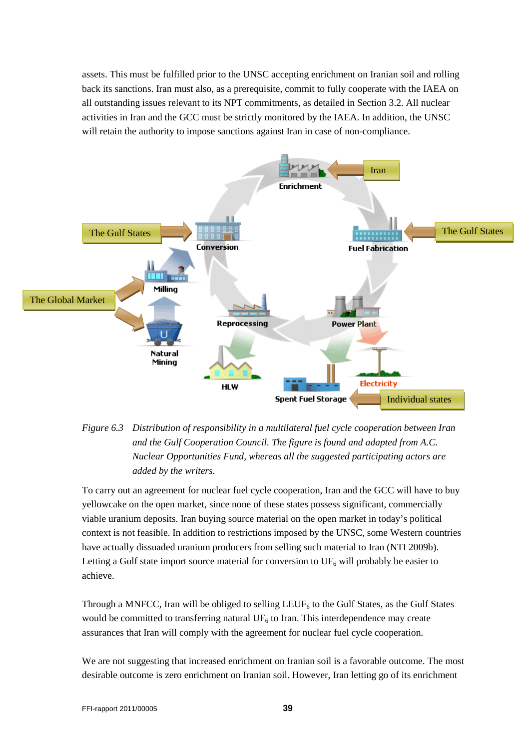assets. This must be fulfilled prior to the UNSC accepting enrichment on Iranian soil and rolling back its sanctions. Iran must also, as a prerequisite, commit to fully cooperate with the IAEA on all outstanding issues relevant to its NPT commitments, as detailed in Section 3.2. All nuclear activities in Iran and the GCC must be strictly monitored by the IAEA. In addition, the UNSC will retain the authority to impose sanctions against Iran in case of non-compliance.





To carry out an agreement for nuclear fuel cycle cooperation, Iran and the GCC will have to buy yellowcake on the open market, since none of these states possess significant, commercially viable uranium deposits. Iran buying source material on the open market in today's political context is not feasible. In addition to restrictions imposed by the UNSC, some Western countries have actually dissuaded uranium producers from selling such material to Iran (NTI 2009b). Letting a Gulf state import source material for conversion to  $UF_6$  will probably be easier to achieve.

Through a MNFCC, Iran will be obliged to selling  $LEUF<sub>6</sub>$  to the Gulf States, as the Gulf States would be committed to transferring natural  $UF<sub>6</sub>$  to Iran. This interdependence may create assurances that Iran will comply with the agreement for nuclear fuel cycle cooperation.

We are not suggesting that increased enrichment on Iranian soil is a favorable outcome. The most desirable outcome is zero enrichment on Iranian soil. However, Iran letting go of its enrichment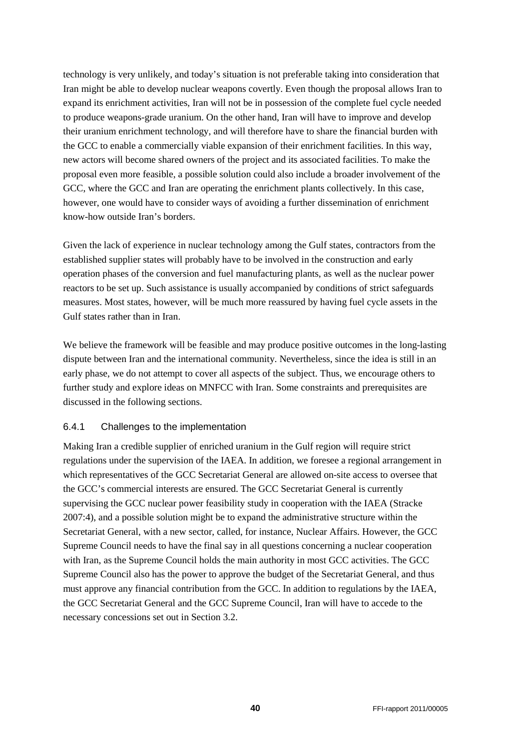technology is very unlikely, and today's situation is not preferable taking into consideration that Iran might be able to develop nuclear weapons covertly. Even though the proposal allows Iran to expand its enrichment activities, Iran will not be in possession of the complete fuel cycle needed to produce weapons-grade uranium. On the other hand, Iran will have to improve and develop their uranium enrichment technology, and will therefore have to share the financial burden with the GCC to enable a commercially viable expansion of their enrichment facilities. In this way, new actors will become shared owners of the project and its associated facilities. To make the proposal even more feasible, a possible solution could also include a broader involvement of the GCC, where the GCC and Iran are operating the enrichment plants collectively. In this case, however, one would have to consider ways of avoiding a further dissemination of enrichment know-how outside Iran's borders.

Given the lack of experience in nuclear technology among the Gulf states, contractors from the established supplier states will probably have to be involved in the construction and early operation phases of the conversion and fuel manufacturing plants, as well as the nuclear power reactors to be set up. Such assistance is usually accompanied by conditions of strict safeguards measures. Most states, however, will be much more reassured by having fuel cycle assets in the Gulf states rather than in Iran.

We believe the framework will be feasible and may produce positive outcomes in the long-lasting dispute between Iran and the international community. Nevertheless, since the idea is still in an early phase, we do not attempt to cover all aspects of the subject. Thus, we encourage others to further study and explore ideas on MNFCC with Iran. Some constraints and prerequisites are discussed in the following sections.

## <span id="page-39-0"></span>6.4.1 Challenges to the implementation

Making Iran a credible supplier of enriched uranium in the Gulf region will require strict regulations under the supervision of the IAEA. In addition, we foresee a regional arrangement in which representatives of the GCC Secretariat General are allowed on-site access to oversee that the GCC's commercial interests are ensured. The GCC Secretariat General is currently supervising the GCC nuclear power feasibility study in cooperation with the IAEA (Stracke 2007:4), and a possible solution might be to expand the administrative structure within the Secretariat General, with a new sector, called, for instance, Nuclear Affairs. However, the GCC Supreme Council needs to have the final say in all questions concerning a nuclear cooperation with Iran, as the Supreme Council holds the main authority in most GCC activities. The GCC Supreme Council also has the power to approve the budget of the Secretariat General, and thus must approve any financial contribution from the GCC. In addition to regulations by the IAEA, the GCC Secretariat General and the GCC Supreme Council, Iran will have to accede to the necessary concessions set out in Section 3.2.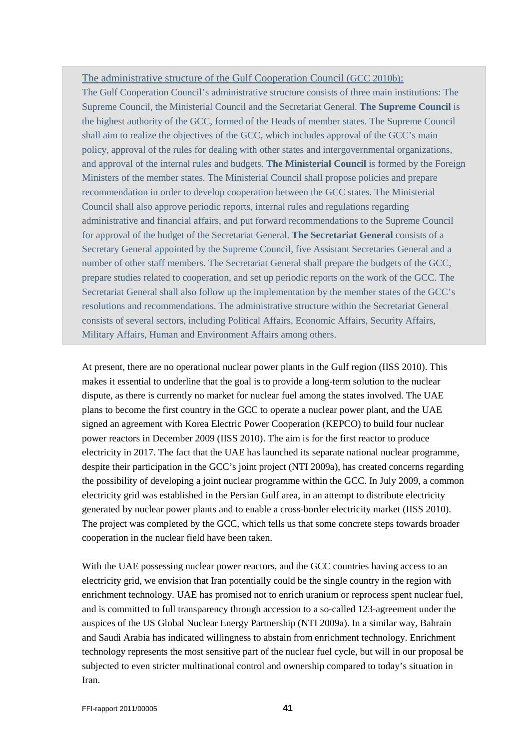#### The administrative structure of the Gulf Cooperation Council (GCC 2010b):

The Gulf Cooperation Council's administrative structure consists of three main institutions: The Supreme Council, the Ministerial Council and the Secretariat General. **The Supreme Council** is the highest authority of the GCC, formed of the Heads of member states. The Supreme Council shall aim to realize the objectives of the GCC, which includes approval of the GCC's main policy, approval of the rules for dealing with other states and intergovernmental organizations, and approval of the internal rules and budgets. **The Ministerial Council** is formed by the Foreign Ministers of the member states. The Ministerial Council shall propose policies and prepare recommendation in order to develop cooperation between the GCC states. The Ministerial Council shall also approve periodic reports, internal rules and regulations regarding administrative and financial affairs, and put forward recommendations to the Supreme Council for approval of the budget of the Secretariat General. **The Secretariat General** consists of a Secretary General appointed by the Supreme Council, five Assistant Secretaries General and a number of other staff members. The Secretariat General shall prepare the budgets of the GCC, prepare studies related to cooperation, and set up periodic reports on the work of the GCC. The Secretariat General shall also follow up the implementation by the member states of the GCC's resolutions and recommendations. The administrative structure within the Secretariat General consists of several sectors, including Political Affairs, Economic Affairs, Security Affairs, Military Affairs, Human and Environment Affairs among others.

At present, there are no operational nuclear power plants in the Gulf region (IISS 2010). This makes it essential to underline that the goal is to provide a long-term solution to the nuclear dispute, as there is currently no market for nuclear fuel among the states involved. The UAE plans to become the first country in the GCC to operate a nuclear power plant, and the UAE signed an agreement with Korea Electric Power Cooperation (KEPCO) to build four nuclear power reactors in December 2009 (IISS 2010). The aim is for the first reactor to produce electricity in 2017. The fact that the UAE has launched its separate national nuclear programme, despite their participation in the GCC's joint project (NTI 2009a), has created concerns regarding the possibility of developing a joint nuclear programme within the GCC. In July 2009, a common electricity grid was established in the Persian Gulf area, in an attempt to distribute electricity generated by nuclear power plants and to enable a cross-border electricity market (IISS 2010). The project was completed by the GCC, which tells us that some concrete steps towards broader cooperation in the nuclear field have been taken.

With the UAE possessing nuclear power reactors, and the GCC countries having access to an electricity grid, we envision that Iran potentially could be the single country in the region with enrichment technology. UAE has promised not to enrich uranium or reprocess spent nuclear fuel, and is committed to full transparency through accession to a so-called 123-agreement under the auspices of the US Global Nuclear Energy Partnership (NTI 2009a). In a similar way, Bahrain and Saudi Arabia has indicated willingness to abstain from enrichment technology. Enrichment technology represents the most sensitive part of the nuclear fuel cycle, but will in our proposal be subjected to even stricter multinational control and ownership compared to today's situation in Iran.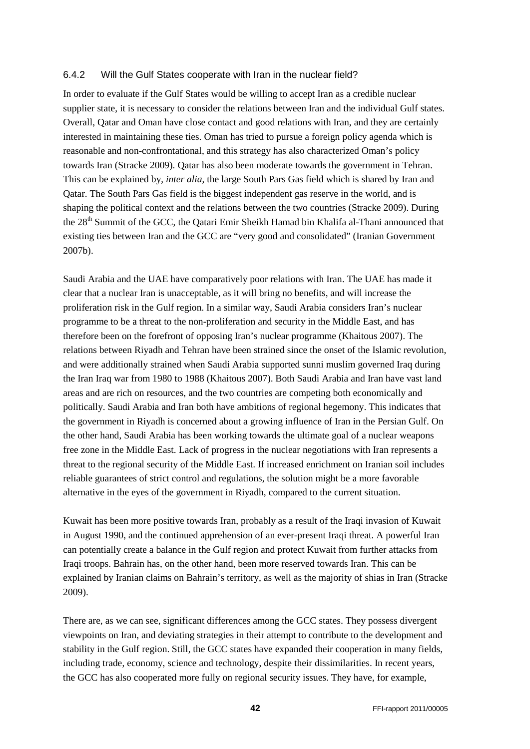#### <span id="page-41-0"></span>6.4.2 Will the Gulf States cooperate with Iran in the nuclear field?

In order to evaluate if the Gulf States would be willing to accept Iran as a credible nuclear supplier state, it is necessary to consider the relations between Iran and the individual Gulf states. Overall, Qatar and Oman have close contact and good relations with Iran, and they are certainly interested in maintaining these ties. Oman has tried to pursue a foreign policy agenda which is reasonable and non-confrontational, and this strategy has also characterized Oman's policy towards Iran (Stracke 2009). Qatar has also been moderate towards the government in Tehran. This can be explained by, *inter alia*, the large South Pars Gas field which is shared by Iran and Qatar. The South Pars Gas field is the biggest independent gas reserve in the world, and is shaping the political context and the relations between the two countries (Stracke 2009). During the 28<sup>th</sup> Summit of the GCC, the Qatari Emir Sheikh Hamad bin Khalifa al-Thani announced that existing ties between Iran and the GCC are "very good and consolidated" (Iranian Government 2007b).

Saudi Arabia and the UAE have comparatively poor relations with Iran. The UAE has made it clear that a nuclear Iran is unacceptable, as it will bring no benefits, and will increase the proliferation risk in the Gulf region. In a similar way, Saudi Arabia considers Iran's nuclear programme to be a threat to the non-proliferation and security in the Middle East, and has therefore been on the forefront of opposing Iran's nuclear programme (Khaitous 2007). The relations between Riyadh and Tehran have been strained since the onset of the Islamic revolution, and were additionally strained when Saudi Arabia supported sunni muslim governed Iraq during the Iran Iraq war from 1980 to 1988 (Khaitous 2007). Both Saudi Arabia and Iran have vast land areas and are rich on resources, and the two countries are competing both economically and politically. Saudi Arabia and Iran both have ambitions of regional hegemony. This indicates that the government in Riyadh is concerned about a growing influence of Iran in the Persian Gulf. On the other hand, Saudi Arabia has been working towards the ultimate goal of a nuclear weapons free zone in the Middle East. Lack of progress in the nuclear negotiations with Iran represents a threat to the regional security of the Middle East. If increased enrichment on Iranian soil includes reliable guarantees of strict control and regulations, the solution might be a more favorable alternative in the eyes of the government in Riyadh, compared to the current situation.

Kuwait has been more positive towards Iran, probably as a result of the Iraqi invasion of Kuwait in August 1990, and the continued apprehension of an ever-present Iraqi threat. A powerful Iran can potentially create a balance in the Gulf region and protect Kuwait from further attacks from Iraqi troops. Bahrain has, on the other hand, been more reserved towards Iran. This can be explained by Iranian claims on Bahrain's territory, as well as the majority of shias in Iran (Stracke 2009).

There are, as we can see, significant differences among the GCC states. They possess divergent viewpoints on Iran, and deviating strategies in their attempt to contribute to the development and stability in the Gulf region. Still, the GCC states have expanded their cooperation in many fields, including trade, economy, science and technology, despite their dissimilarities. In recent years, the GCC has also cooperated more fully on regional security issues. They have, for example,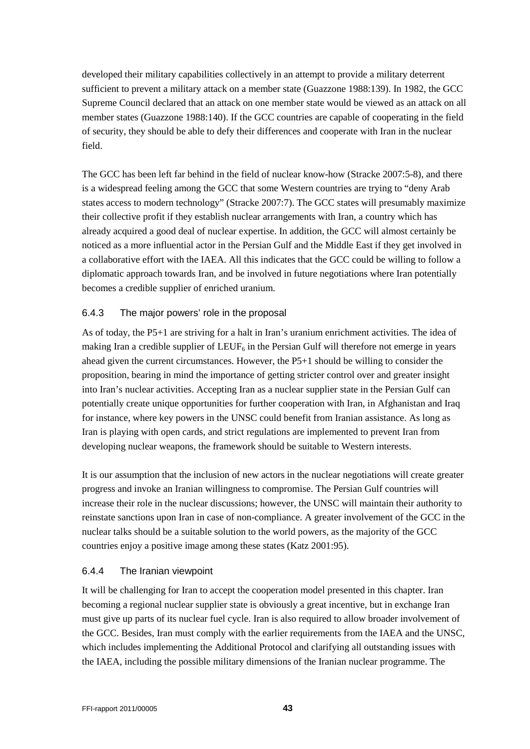developed their military capabilities collectively in an attempt to provide a military deterrent sufficient to prevent a military attack on a member state (Guazzone 1988:139). In 1982, the GCC Supreme Council declared that an attack on one member state would be viewed as an attack on all member states (Guazzone 1988:140). If the GCC countries are capable of cooperating in the field of security, they should be able to defy their differences and cooperate with Iran in the nuclear field.

The GCC has been left far behind in the field of nuclear know-how (Stracke 2007:5-8), and there is a widespread feeling among the GCC that some Western countries are trying to "deny Arab states access to modern technology" (Stracke 2007:7). The GCC states will presumably maximize their collective profit if they establish nuclear arrangements with Iran, a country which has already acquired a good deal of nuclear expertise. In addition, the GCC will almost certainly be noticed as a more influential actor in the Persian Gulf and the Middle East if they get involved in a collaborative effort with the IAEA. All this indicates that the GCC could be willing to follow a diplomatic approach towards Iran, and be involved in future negotiations where Iran potentially becomes a credible supplier of enriched uranium.

# <span id="page-42-0"></span>6.4.3 The major powers' role in the proposal

As of today, the P5+1 are striving for a halt in Iran's uranium enrichment activities. The idea of making Iran a credible supplier of  $LEUF_6$  in the Persian Gulf will therefore not emerge in years ahead given the current circumstances. However, the P5+1 should be willing to consider the proposition, bearing in mind the importance of getting stricter control over and greater insight into Iran's nuclear activities. Accepting Iran as a nuclear supplier state in the Persian Gulf can potentially create unique opportunities for further cooperation with Iran, in Afghanistan and Iraq for instance, where key powers in the UNSC could benefit from Iranian assistance. As long as Iran is playing with open cards, and strict regulations are implemented to prevent Iran from developing nuclear weapons, the framework should be suitable to Western interests.

It is our assumption that the inclusion of new actors in the nuclear negotiations will create greater progress and invoke an Iranian willingness to compromise. The Persian Gulf countries will increase their role in the nuclear discussions; however, the UNSC will maintain their authority to reinstate sanctions upon Iran in case of non-compliance. A greater involvement of the GCC in the nuclear talks should be a suitable solution to the world powers, as the majority of the GCC countries enjoy a positive image among these states (Katz 2001:95).

## <span id="page-42-1"></span>6.4.4 The Iranian viewpoint

It will be challenging for Iran to accept the cooperation model presented in this chapter. Iran becoming a regional nuclear supplier state is obviously a great incentive, but in exchange Iran must give up parts of its nuclear fuel cycle. Iran is also required to allow broader involvement of the GCC. Besides, Iran must comply with the earlier requirements from the IAEA and the UNSC, which includes implementing the Additional Protocol and clarifying all outstanding issues with the IAEA, including the possible military dimensions of the Iranian nuclear programme. The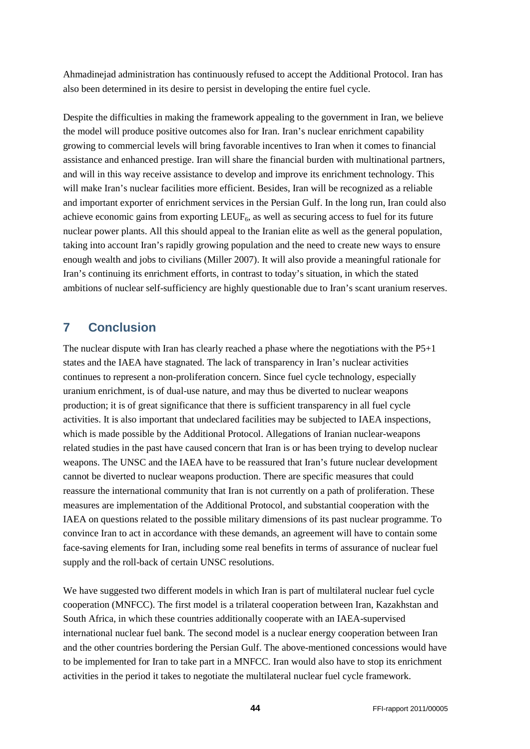Ahmadinejad administration has continuously refused to accept the Additional Protocol. Iran has also been determined in its desire to persist in developing the entire fuel cycle.

Despite the difficulties in making the framework appealing to the government in Iran, we believe the model will produce positive outcomes also for Iran. Iran's nuclear enrichment capability growing to commercial levels will bring favorable incentives to Iran when it comes to financial assistance and enhanced prestige. Iran will share the financial burden with multinational partners, and will in this way receive assistance to develop and improve its enrichment technology. This will make Iran's nuclear facilities more efficient. Besides, Iran will be recognized as a reliable and important exporter of enrichment services in the Persian Gulf. In the long run, Iran could also achieve economic gains from exporting  $LEUF_6$ , as well as securing access to fuel for its future nuclear power plants. All this should appeal to the Iranian elite as well as the general population, taking into account Iran's rapidly growing population and the need to create new ways to ensure enough wealth and jobs to civilians (Miller 2007). It will also provide a meaningful rationale for Iran's continuing its enrichment efforts, in contrast to today's situation, in which the stated ambitions of nuclear self-sufficiency are highly questionable due to Iran's scant uranium reserves.

# <span id="page-43-0"></span>**7 Conclusion**

The nuclear dispute with Iran has clearly reached a phase where the negotiations with the P5+1 states and the IAEA have stagnated. The lack of transparency in Iran's nuclear activities continues to represent a non-proliferation concern. Since fuel cycle technology, especially uranium enrichment, is of dual-use nature, and may thus be diverted to nuclear weapons production; it is of great significance that there is sufficient transparency in all fuel cycle activities. It is also important that undeclared facilities may be subjected to IAEA inspections, which is made possible by the Additional Protocol. Allegations of Iranian nuclear-weapons related studies in the past have caused concern that Iran is or has been trying to develop nuclear weapons. The UNSC and the IAEA have to be reassured that Iran's future nuclear development cannot be diverted to nuclear weapons production. There are specific measures that could reassure the international community that Iran is not currently on a path of proliferation. These measures are implementation of the Additional Protocol, and substantial cooperation with the IAEA on questions related to the possible military dimensions of its past nuclear programme. To convince Iran to act in accordance with these demands, an agreement will have to contain some face-saving elements for Iran, including some real benefits in terms of assurance of nuclear fuel supply and the roll-back of certain UNSC resolutions.

We have suggested two different models in which Iran is part of multilateral nuclear fuel cycle cooperation (MNFCC). The first model is a trilateral cooperation between Iran, Kazakhstan and South Africa, in which these countries additionally cooperate with an IAEA-supervised international nuclear fuel bank. The second model is a nuclear energy cooperation between Iran and the other countries bordering the Persian Gulf. The above-mentioned concessions would have to be implemented for Iran to take part in a MNFCC. Iran would also have to stop its enrichment activities in the period it takes to negotiate the multilateral nuclear fuel cycle framework.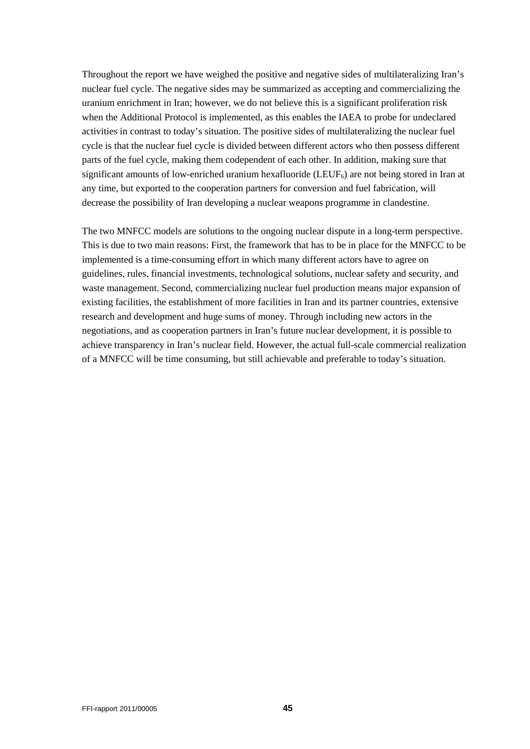Throughout the report we have weighed the positive and negative sides of multilateralizing Iran's nuclear fuel cycle. The negative sides may be summarized as accepting and commercializing the uranium enrichment in Iran; however, we do not believe this is a significant proliferation risk when the Additional Protocol is implemented, as this enables the IAEA to probe for undeclared activities in contrast to today's situation. The positive sides of multilateralizing the nuclear fuel cycle is that the nuclear fuel cycle is divided between different actors who then possess different parts of the fuel cycle, making them codependent of each other. In addition, making sure that significant amounts of low-enriched uranium hexafluoride (LEUF<sub>6</sub>) are not being stored in Iran at any time, but exported to the cooperation partners for conversion and fuel fabrication, will decrease the possibility of Iran developing a nuclear weapons programme in clandestine.

The two MNFCC models are solutions to the ongoing nuclear dispute in a long-term perspective. This is due to two main reasons: First, the framework that has to be in place for the MNFCC to be implemented is a time-consuming effort in which many different actors have to agree on guidelines, rules, financial investments, technological solutions, nuclear safety and security, and waste management. Second, commercializing nuclear fuel production means major expansion of existing facilities, the establishment of more facilities in Iran and its partner countries, extensive research and development and huge sums of money. Through including new actors in the negotiations, and as cooperation partners in Iran's future nuclear development, it is possible to achieve transparency in Iran's nuclear field. However, the actual full-scale commercial realization of a MNFCC will be time consuming, but still achievable and preferable to today's situation.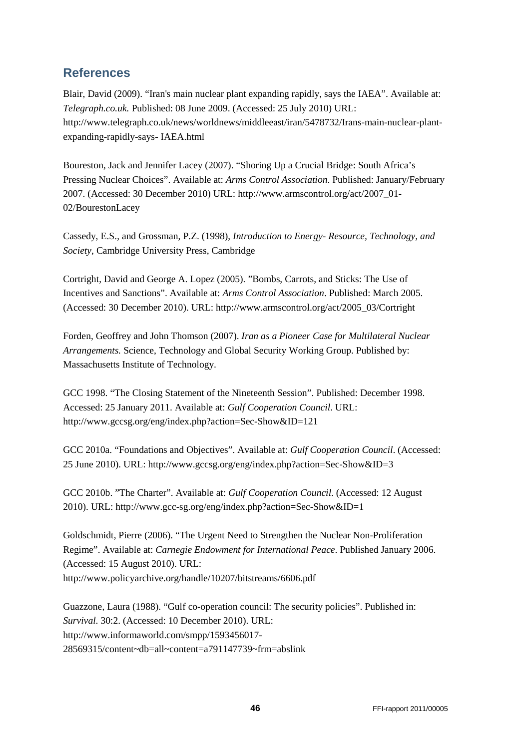# <span id="page-45-0"></span>**References**

Blair, David (2009). "Iran's main nuclear plant expanding rapidly, says the IAEA". Available at: *Telegraph.co.uk.* Published: 08 June 2009. (Accessed: 25 July 2010) URL: http://www.telegraph.co.uk/news/worldnews/middleeast/iran/5478732/Irans-main-nuclear-plantexpanding-rapidly-says- IAEA.html

Boureston, Jack and Jennifer Lacey (2007). "Shoring Up a Crucial Bridge: South Africa's Pressing Nuclear Choices". Available at: *Arms Control Association*. Published: January/February 2007. (Accessed: 30 December 2010) URL: http://www.armscontrol.org/act/2007\_01- 02/BourestonLacey

Cassedy, E.S., and Grossman, P.Z. (1998), *Introduction to Energy- Resource, Technology, and Society*, Cambridge University Press, Cambridge

Cortright, David and George A. Lopez (2005). "Bombs, Carrots, and Sticks: The Use of Incentives and Sanctions". Available at: *Arms Control Association*. Published: March 2005. (Accessed: 30 December 2010). URL: http://www.armscontrol.org/act/2005\_03/Cortright

Forden, Geoffrey and John Thomson (2007). *Iran as a Pioneer Case for Multilateral Nuclear Arrangements.* Science, Technology and Global Security Working Group. Published by: Massachusetts Institute of Technology.

GCC 1998. "The Closing Statement of the Nineteenth Session". Published: December 1998. Accessed: 25 January 2011. Available at: *Gulf Cooperation Council*. URL: http://www.gccsg.org/eng/index.php?action=Sec-Show&ID=121

GCC 2010a. "Foundations and Objectives". Available at: *Gulf Cooperation Council*. (Accessed: 25 June 2010). URL: http://www.gccsg.org/eng/index.php?action=Sec-Show&ID=3

GCC 2010b. "The Charter". Available at: *Gulf Cooperation Council*. (Accessed: 12 August 2010). URL: http://www.gcc-sg.org/eng/index.php?action=Sec-Show&ID=1

Goldschmidt, Pierre (2006). "The Urgent Need to Strengthen the Nuclear Non-Proliferation Regime". Available at: *Carnegie Endowment for International Peace*. Published January 2006. (Accessed: 15 August 2010). URL: http://www.policyarchive.org/handle/10207/bitstreams/6606.pdf

Guazzone, Laura (1988). "Gulf co-operation council: The security policies". Published in: *Survival*. 30:2. (Accessed: 10 December 2010). URL: http://www.informaworld.com/smpp/1593456017- 28569315/content~db=all~content=a791147739~frm=abslink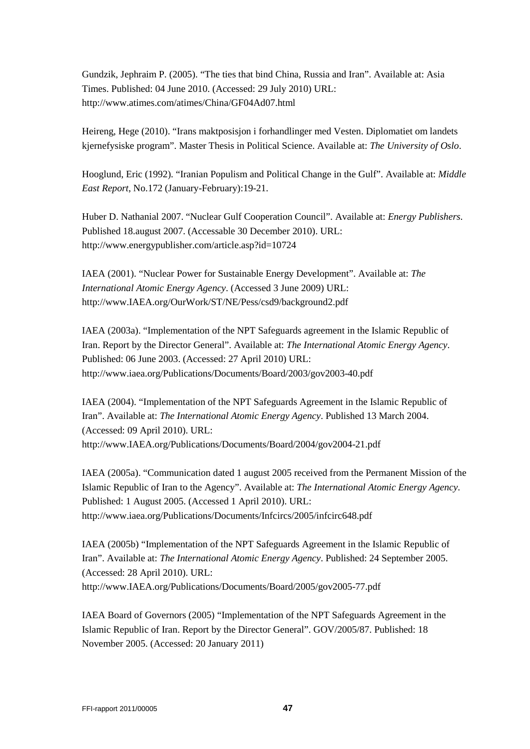Gundzik, Jephraim P. (2005). "The ties that bind China, Russia and Iran". Available at: Asia Times. Published: 04 June 2010. (Accessed: 29 July 2010) URL: http://www.atimes.com/atimes/China/GF04Ad07.html

Heireng, Hege (2010). "Irans maktposisjon i forhandlinger med Vesten. Diplomatiet om landets kjernefysiske program". Master Thesis in Political Science. Available at: *The University of Oslo*.

Hooglund, Eric (1992). "Iranian Populism and Political Change in the Gulf". Available at: *Middle East Report*, No.172 (January-February):19-21.

Huber D. Nathanial 2007. "Nuclear Gulf Cooperation Council". Available at: *Energy Publishers*. Published 18.august 2007. (Accessable 30 December 2010). URL: http://www.energypublisher.com/article.asp?id=10724

IAEA (2001). "Nuclear Power for Sustainable Energy Development". Available at: *The International Atomic Energy Agency*. (Accessed 3 June 2009) URL: http://www.IAEA.org/OurWork/ST/NE/Pess/csd9/background2.pdf

IAEA (2003a). "Implementation of the NPT Safeguards agreement in the Islamic Republic of Iran. Report by the Director General". Available at: *The International Atomic Energy Agency*. Published: 06 June 2003. (Accessed: 27 April 2010) URL: http://www.iaea.org/Publications/Documents/Board/2003/gov2003-40.pdf

IAEA (2004). "Implementation of the NPT Safeguards Agreement in the Islamic Republic of Iran". Available at: *The International Atomic Energy Agency*. Published 13 March 2004. (Accessed: 09 April 2010). URL: http://www.IAEA.org/Publications/Documents/Board/2004/gov2004-21.pdf

IAEA (2005a). "Communication dated 1 august 2005 received from the Permanent Mission of the Islamic Republic of Iran to the Agency". Available at: *The International Atomic Energy Agency*. Published: 1 August 2005. (Accessed 1 April 2010). URL: http://www.iaea.org/Publications/Documents/Infcircs/2005/infcirc648.pdf

IAEA (2005b) "Implementation of the NPT Safeguards Agreement in the Islamic Republic of Iran". Available at: *The International Atomic Energy Agency*. Published: 24 September 2005. (Accessed: 28 April 2010). URL: http://www.IAEA.org/Publications/Documents/Board/2005/gov2005-77.pdf

IAEA Board of Governors (2005) "Implementation of the NPT Safeguards Agreement in the Islamic Republic of Iran. Report by the Director General". GOV/2005/87. Published: 18 November 2005. (Accessed: 20 January 2011)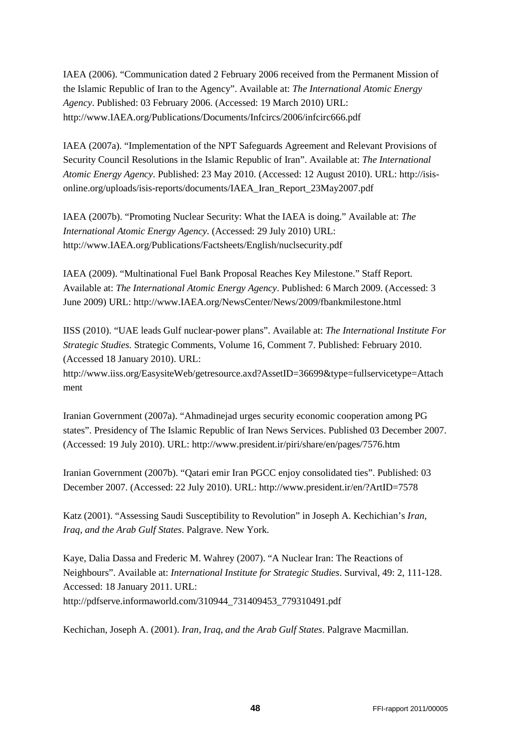IAEA (2006). "Communication dated 2 February 2006 received from the Permanent Mission of the Islamic Republic of Iran to the Agency". Available at: *The International Atomic Energy Agency*. Published: 03 February 2006. (Accessed: 19 March 2010) URL: http://www.IAEA.org/Publications/Documents/Infcircs/2006/infcirc666.pdf

IAEA (2007a). "Implementation of the NPT Safeguards Agreement and Relevant Provisions of Security Council Resolutions in the Islamic Republic of Iran". Available at: *The International Atomic Energy Agency*. Published: 23 May 2010. (Accessed: 12 August 2010). URL: http://isisonline.org/uploads/isis-reports/documents/IAEA\_Iran\_Report\_23May2007.pdf

IAEA (2007b). "Promoting Nuclear Security: What the IAEA is doing." Available at: *The International Atomic Energy Agency*. (Accessed: 29 July 2010) URL: http://www.IAEA.org/Publications/Factsheets/English/nuclsecurity.pdf

IAEA (2009). "Multinational Fuel Bank Proposal Reaches Key Milestone." Staff Report. Available at: *The International Atomic Energy Agency*. Published: 6 March 2009. (Accessed: 3 June 2009) URL: http://www.IAEA.org/NewsCenter/News/2009/fbankmilestone.html

IISS (2010). "UAE leads Gulf nuclear-power plans". Available at: *The International Institute For Strategic Studies.* Strategic Comments, Volume 16, Comment 7. Published: February 2010. (Accessed 18 January 2010). URL:

http://www.iiss.org/EasysiteWeb/getresource.axd?AssetID=36699&type=fullservicetype=Attach ment

Iranian Government (2007a). "Ahmadinejad urges security economic cooperation among PG states". Presidency of The Islamic Republic of Iran News Services. Published 03 December 2007. (Accessed: 19 July 2010). URL: http://www.president.ir/piri/share/en/pages/7576.htm

Iranian Government (2007b). "Qatari emir Iran PGCC enjoy consolidated ties". Published: 03 December 2007. (Accessed: 22 July 2010). URL: http://www.president.ir/en/?ArtID=7578

Katz (2001). "Assessing Saudi Susceptibility to Revolution" in Joseph A. Kechichian's *Iran, Iraq, and the Arab Gulf States*. Palgrave. New York.

Kaye, Dalia Dassa and Frederic M. Wahrey (2007). "A Nuclear Iran: The Reactions of Neighbours". Available at: *International Institute for Strategic Studies*. Survival, 49: 2, 111-128. Accessed: 18 January 2011. URL: http://pdfserve.informaworld.com/310944\_731409453\_779310491.pdf

Kechichan, Joseph A. (2001). *Iran, Iraq, and the Arab Gulf States*. Palgrave Macmillan.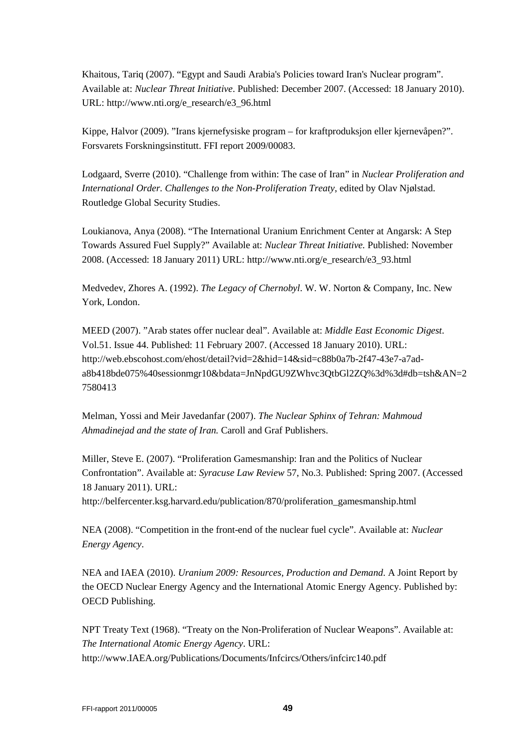Khaitous, Tariq (2007). "Egypt and Saudi Arabia's Policies toward Iran's Nuclear program". Available at: *Nuclear Threat Initiative*. Published: December 2007. (Accessed: 18 January 2010). URL: http://www.nti.org/e\_research/e3\_96.html

Kippe, Halvor (2009). "Irans kjernefysiske program – for kraftproduksjon eller kjernevåpen?". Forsvarets Forskningsinstitutt. FFI report 2009/00083.

Lodgaard, Sverre (2010). "Challenge from within: The case of Iran" in *Nuclear Proliferation and International Order. Challenges to the Non-Proliferation Treaty*, edited by Olav Njølstad. Routledge Global Security Studies.

Loukianova, Anya (2008). "The International Uranium Enrichment Center at Angarsk: A Step Towards Assured Fuel Supply?" Available at: *Nuclear Threat Initiative.* Published: November 2008. (Accessed: 18 January 2011) URL: http://www.nti.org/e\_research/e3\_93.html

Medvedev, Zhores A. (1992). *The Legacy of Chernobyl*. W. W. Norton & Company, Inc. New York, London.

MEED (2007). "Arab states offer nuclear deal". Available at: *Middle East Economic Digest*. Vol.51. Issue 44. Published: 11 February 2007. (Accessed 18 January 2010). URL: http://web.ebscohost.com/ehost/detail?vid=2&hid=14&sid=c88b0a7b-2f47-43e7-a7ada8b418bde075%40sessionmgr10&bdata=JnNpdGU9ZWhvc3QtbGl2ZQ%3d%3d#db=tsh&AN=2 7580413

Melman, Yossi and Meir Javedanfar (2007). *The Nuclear Sphinx of Tehran: Mahmoud Ahmadinejad and the state of Iran.* Caroll and Graf Publishers.

Miller, Steve E. (2007). "Proliferation Gamesmanship: Iran and the Politics of Nuclear Confrontation". Available at: *Syracuse Law Review* 57, No.3. Published: Spring 2007. (Accessed 18 January 2011). URL:

http://belfercenter.ksg.harvard.edu/publication/870/proliferation\_gamesmanship.html

NEA (2008). "Competition in the front-end of the nuclear fuel cycle". Available at: *Nuclear Energy Agency*.

NEA and IAEA (2010). *Uranium 2009: Resources, Production and Demand*. A Joint Report by the OECD Nuclear Energy Agency and the International Atomic Energy Agency. Published by: OECD Publishing.

NPT Treaty Text (1968). "Treaty on the Non-Proliferation of Nuclear Weapons". Available at: *The International Atomic Energy Agency*. URL: http://www.IAEA.org/Publications/Documents/Infcircs/Others/infcirc140.pdf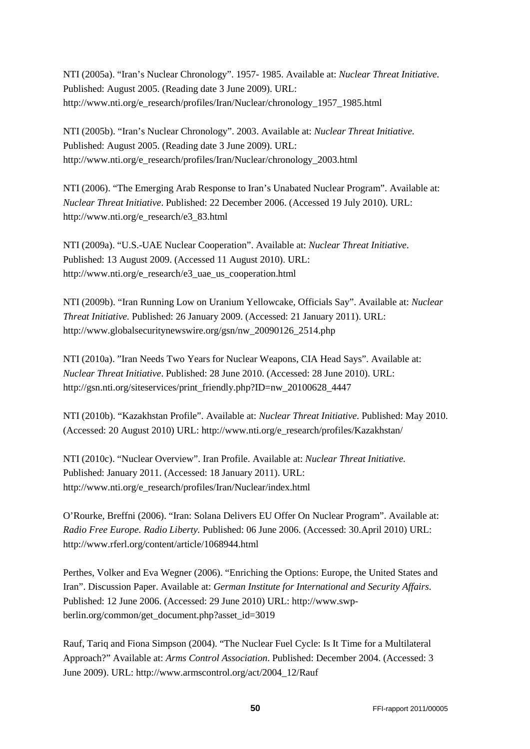NTI (2005a). "Iran's Nuclear Chronology". 1957- 1985. Available at: *Nuclear Threat Initiative*. Published: August 2005. (Reading date 3 June 2009). URL: http://www.nti.org/e\_research/profiles/Iran/Nuclear/chronology\_1957\_1985.html

NTI (2005b). "Iran's Nuclear Chronology". 2003. Available at: *Nuclear Threat Initiative*. Published: August 2005. (Reading date 3 June 2009). URL: http://www.nti.org/e\_research/profiles/Iran/Nuclear/chronology\_2003.html

NTI (2006). "The Emerging Arab Response to Iran's Unabated Nuclear Program". Available at: *Nuclear Threat Initiative*. Published: 22 December 2006. (Accessed 19 July 2010). URL: http://www.nti.org/e\_research/e3\_83.html

NTI (2009a). "U.S.-UAE Nuclear Cooperation". Available at: *Nuclear Threat Initiative*. Published: 13 August 2009. (Accessed 11 August 2010). URL: http://www.nti.org/e\_research/e3\_uae\_us\_cooperation.html

NTI (2009b). "Iran Running Low on Uranium Yellowcake, Officials Say". Available at: *Nuclear Threat Initiative.* Published: 26 January 2009. (Accessed: 21 January 2011). URL: http://www.globalsecuritynewswire.org/gsn/nw\_20090126\_2514.php

NTI (2010a). "Iran Needs Two Years for Nuclear Weapons, CIA Head Says". Available at: *Nuclear Threat Initiative*. Published: 28 June 2010. (Accessed: 28 June 2010). URL: http://gsn.nti.org/siteservices/print\_friendly.php?ID=nw\_20100628\_4447

NTI (2010b). "Kazakhstan Profile". Available at: *Nuclear Threat Initiative*. Published: May 2010. (Accessed: 20 August 2010) URL: http://www.nti.org/e\_research/profiles/Kazakhstan/

NTI (2010c). "Nuclear Overview". Iran Profile. Available at: *Nuclear Threat Initiative.*  Published: January 2011. (Accessed: 18 January 2011). URL: http://www.nti.org/e\_research/profiles/Iran/Nuclear/index.html

O'Rourke, Breffni (2006). "Iran: Solana Delivers EU Offer On Nuclear Program". Available at: *Radio Free Europe. Radio Liberty.* Published: 06 June 2006. (Accessed: 30.April 2010) URL: http://www.rferl.org/content/article/1068944.html

Perthes, Volker and Eva Wegner (2006). "Enriching the Options: Europe, the United States and Iran". Discussion Paper. Available at: *German Institute for International and Security Affairs*. Published: 12 June 2006. (Accessed: 29 June 2010) URL: http://www.swpberlin.org/common/get\_document.php?asset\_id=3019

Rauf, Tariq and Fiona Simpson (2004). "The Nuclear Fuel Cycle: Is It Time for a Multilateral Approach?" Available at: *Arms Control Association*. Published: December 2004. (Accessed: 3 June 2009). URL: http://www.armscontrol.org/act/2004\_12/Rauf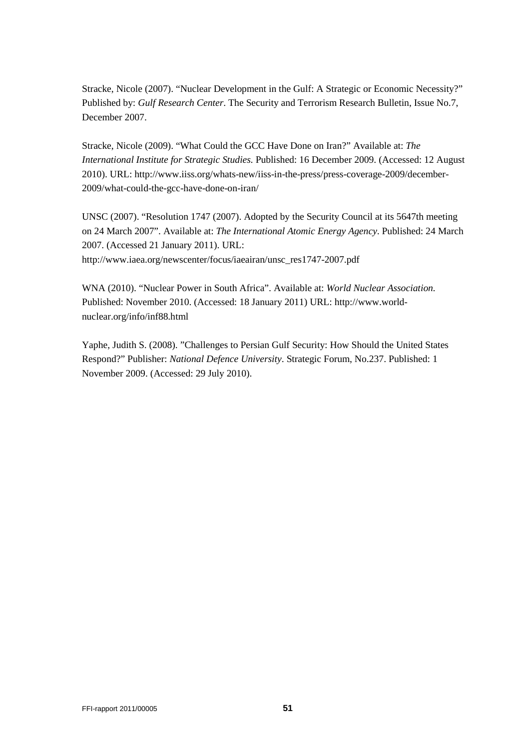Stracke, Nicole (2007). "Nuclear Development in the Gulf: A Strategic or Economic Necessity?" Published by: *Gulf Research Center*. The Security and Terrorism Research Bulletin, Issue No.7, December 2007.

Stracke, Nicole (2009). "What Could the GCC Have Done on Iran?" Available at: *The International Institute for Strategic Studies.* Published: 16 December 2009. (Accessed: 12 August 2010). URL: http://www.iiss.org/whats-new/iiss-in-the-press/press-coverage-2009/december-2009/what-could-the-gcc-have-done-on-iran/

UNSC (2007). "Resolution 1747 (2007). Adopted by the Security Council at its 5647th meeting on 24 March 2007". Available at: *The International Atomic Energy Agency*. Published: 24 March 2007. (Accessed 21 January 2011). URL: http://www.iaea.org/newscenter/focus/iaeairan/unsc\_res1747-2007.pdf

WNA (2010). "Nuclear Power in South Africa". Available at: *World Nuclear Association.* Published: November 2010. (Accessed: 18 January 2011) URL: http://www.worldnuclear.org/info/inf88.html

Yaphe, Judith S. (2008). "Challenges to Persian Gulf Security: How Should the United States Respond?" Publisher: *National Defence University*. Strategic Forum, No.237. Published: 1 November 2009. (Accessed: 29 July 2010).